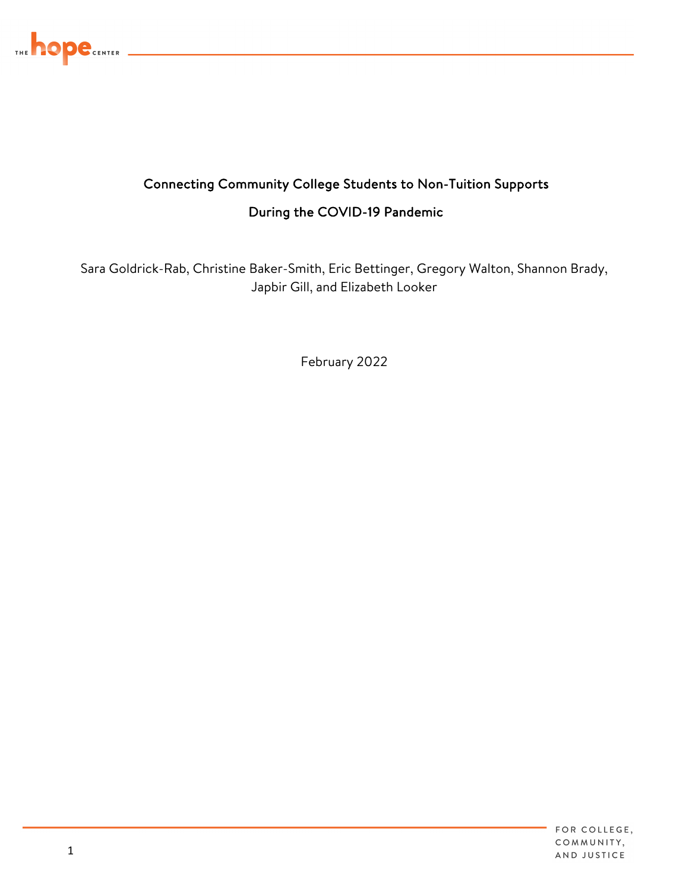

## During the COVID-19 Pandemic Connecting Community College Students to Non-Tuition Supports

Sara Goldrick-Rab, Christine Baker-Smith, Eric Bettinger, Gregory Walton, Shannon Brady, Japbir Gill, and Elizabeth Looker

February 2022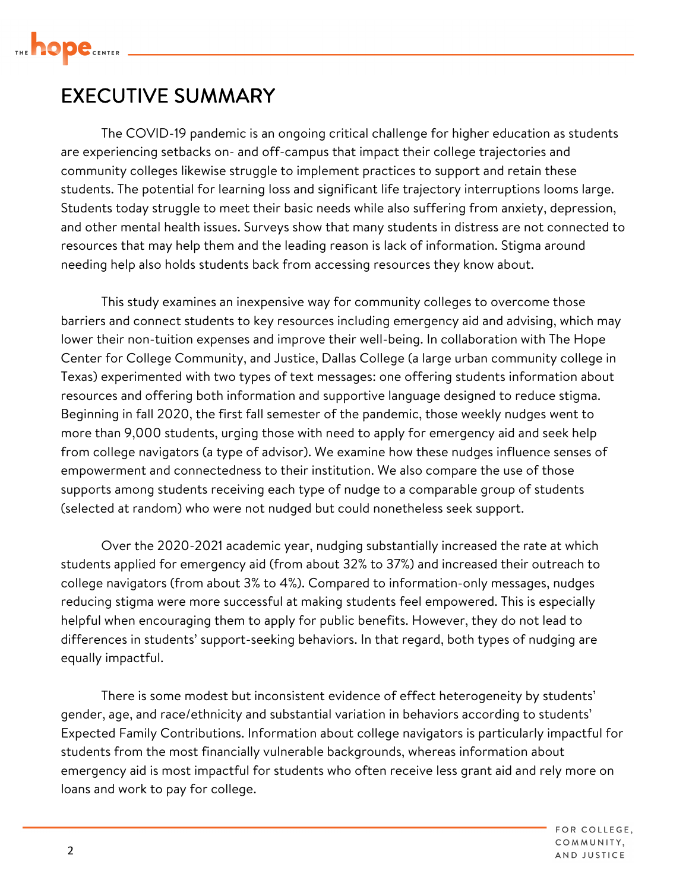

## EXECUTIVE SUMMARY

 The COVID-19 pandemic is an ongoing critical challenge for higher education as students are experiencing setbacks on- and off-campus that impact their college trajectories and resources that may help them and the leading reason is lack of information. Stigma around community colleges likewise struggle to implement practices to support and retain these students. The potential for learning loss and significant life trajectory interruptions looms large. Students today struggle to meet their basic needs while also suffering from anxiety, depression, and other mental health issues. Surveys show that many students in distress are not connected to needing help also holds students back from accessing resources they know about.

 Texas) experimented with two types of text messages: one offering students information about resources and offering both information and supportive language designed to reduce stigma. more than 9,000 students, urging those with need to apply for emergency aid and seek help supports among students receiving each type of nudge to a comparable group of students (selected at random) who were not nudged but could nonetheless seek support. This study examines an inexpensive way for community colleges to overcome those barriers and connect students to key resources including emergency aid and advising, which may lower their non-tuition expenses and improve their well-being. In collaboration with The Hope Center for College Community, and Justice, Dallas College (a large urban community college in Beginning in fall 2020, the first fall semester of the pandemic, those weekly nudges went to from college navigators (a type of advisor). We examine how these nudges influence senses of empowerment and connectedness to their institution. We also compare the use of those

 college navigators (from about 3% to 4%). Compared to information-only messages, nudges helpful when encouraging them to apply for public benefits. However, they do not lead to Over the 2020-2021 academic year, nudging substantially increased the rate at which students applied for emergency aid (from about 32% to 37%) and increased their outreach to reducing stigma were more successful at making students feel empowered. This is especially differences in students' support-seeking behaviors. In that regard, both types of nudging are equally impactful.

 emergency aid is most impactful for students who often receive less grant aid and rely more on loans and work to pay for college. There is some modest but inconsistent evidence of effect heterogeneity by students' gender, age, and race/ethnicity and substantial variation in behaviors according to students' Expected Family Contributions. Information about college navigators is particularly impactful for students from the most financially vulnerable backgrounds, whereas information about

> FOR COLLEGE. COMMUNITY, AND JUSTICE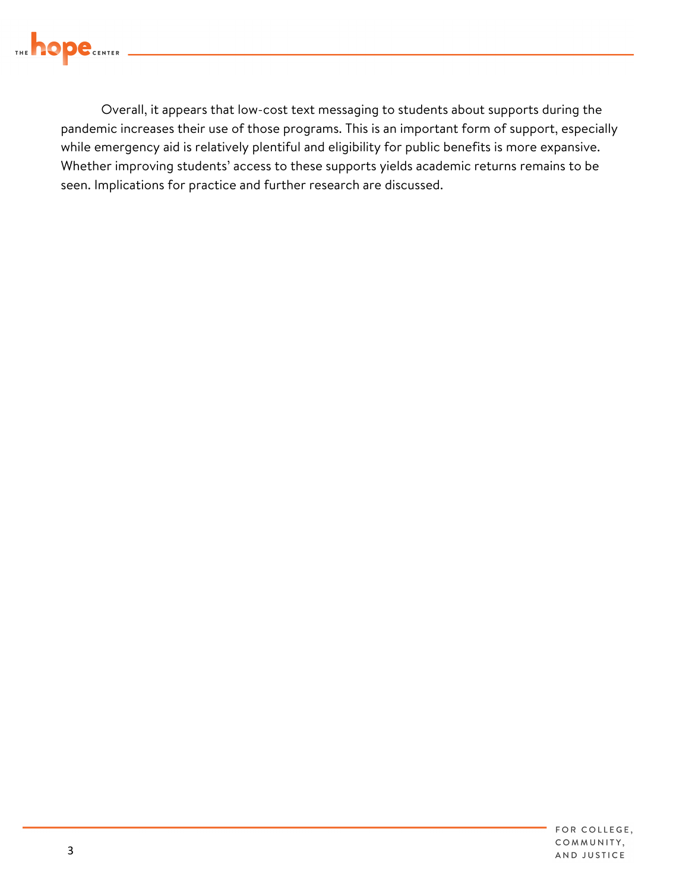

Overall, it appears that low-cost text messaging to students about supports during the pandemic increases their use of those programs. This is an important form of support, especially while emergency aid is relatively plentiful and eligibility for public benefits is more expansive. Whether improving students' access to these supports yields academic returns remains to be seen. Implications for practice and further research are discussed.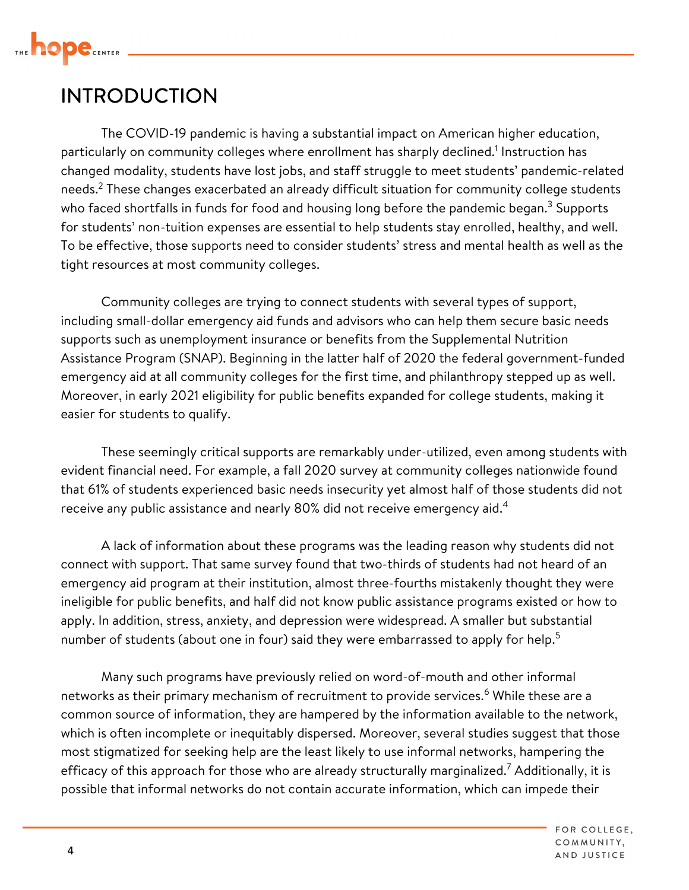

## INTRODUCTION

 The COVID-19 pandemic is having a substantial impact on American higher education, particularly on community colleges where enrollment has sharply declined.<sup>1</sup> Instruction has changed modality, students have lost jobs, and staff struggle to meet students' pandemic-related needs.<sup>2</sup> These changes exacerbated an already difficult situation for community college students who faced shortfalls in funds for food and housing long before the pandemic began.<sup>3</sup> Supports for students' non-tuition expenses are essential to help students stay enrolled, healthy, and well. To be effective, those supports need to consider students' stress and mental health as well as the tight resources at most community colleges.

Community colleges are trying to connect students with several types of support, including small-dollar emergency aid funds and advisors who can help them secure basic needs supports such as unemployment insurance or benefits from the Supplemental Nutrition Assistance Program (SNAP). Beginning in the latter half of 2020 the federal government-funded emergency aid at all community colleges for the first time, and philanthropy stepped up as well. Moreover, in early 2021 eligibility for public benefits expanded for college students, making it easier for students to qualify.

These seemingly critical supports are remarkably under-utilized, even among students with evident financial need. For example, a fall 2020 survey at community colleges nationwide found that 61% of students experienced basic needs insecurity yet almost half of those students did not receive any public assistance and nearly 80% did not receive emergency aid. $4$ 

number of students (about one in four) said they were embarrassed to apply for help.<sup>5</sup> A lack of information about these programs was the leading reason why students did not connect with support. That same survey found that two-thirds of students had not heard of an emergency aid program at their institution, almost three-fourths mistakenly thought they were ineligible for public benefits, and half did not know public assistance programs existed or how to apply. In addition, stress, anxiety, and depression were widespread. A smaller but substantial

 most stigmatized for seeking help are the least likely to use informal networks, hampering the possible that informal networks do not contain accurate information, which can impede their Many such programs have previously relied on word-of-mouth and other informal networks as their primary mechanism of recruitment to provide services.<sup>6</sup> While these are a common source of information, they are hampered by the information available to the network, which is often incomplete or inequitably dispersed. Moreover, several studies suggest that those efficacy of this approach for those who are already structurally marginalized.<sup>7</sup> Additionally, it is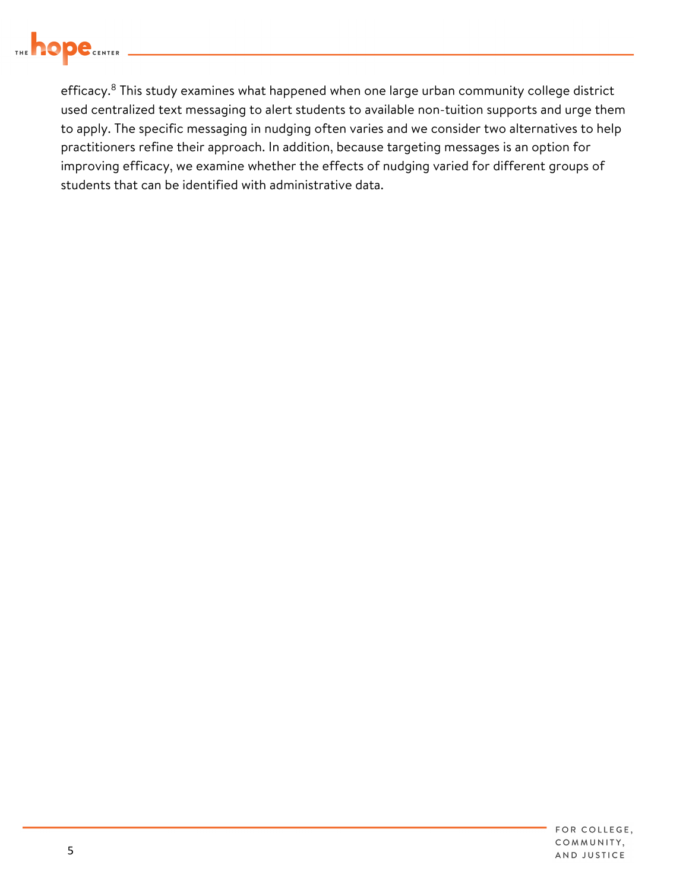

efficacy.<sup>8</sup> This study examines what happened when one large urban community college district used centralized text messaging to alert students to available non-tuition supports and urge them to apply. The specific messaging in nudging often varies and we consider two alternatives to help practitioners refine their approach. In addition, because targeting messages is an option for improving efficacy, we examine whether the effects of nudging varied for different groups of students that can be identified with administrative data.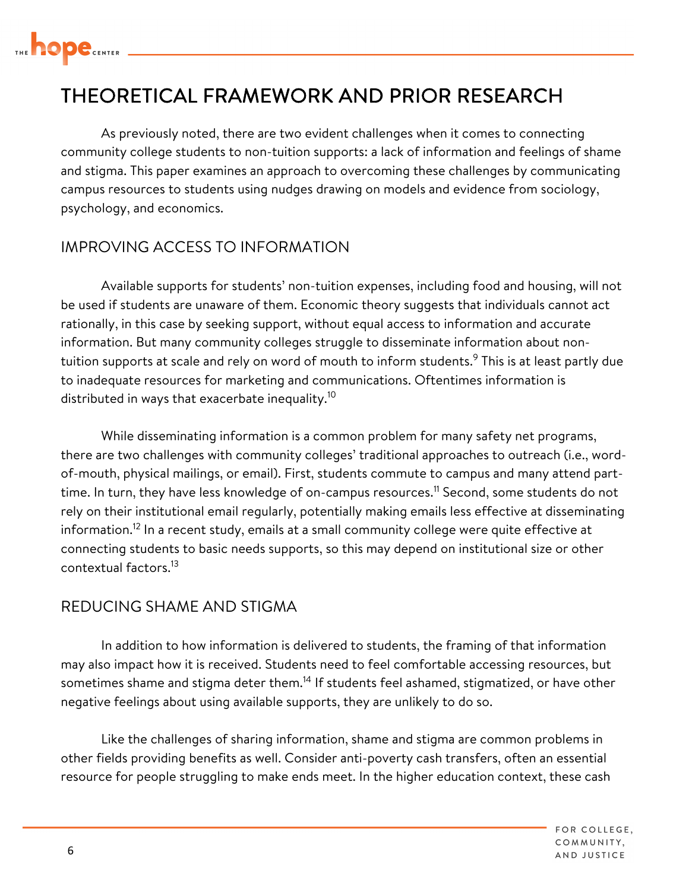

## THEORETICAL FRAMEWORK AND PRIOR RESEARCH

 campus resources to students using nudges drawing on models and evidence from sociology, psychology, and economics. As previously noted, there are two evident challenges when it comes to connecting community college students to non-tuition supports: a lack of information and feelings of shame and stigma. This paper examines an approach to overcoming these challenges by communicating

#### IMPROVING ACCESS TO INFORMATION

distributed in ways that exacerbate [inequality.](https://inequality.10) $^{10}$ Available supports for students' non-tuition expenses, including food and housing, will not be used if students are unaware of them. Economic theory suggests that individuals cannot act rationally, in this case by seeking support, without equal access to information and accurate information. But many community colleges struggle to disseminate information about nontuition supports at scale and rely on word of mouth to inform students.<sup>9</sup> This is at least partly due to inadequate resources for marketing and communications. Oftentimes information is

time. In turn, they have less knowledge of on-campus [resources.](https://resources.11)<sup>11</sup> Second, some students do not While disseminating information is a common problem for many safety net programs, there are two challenges with community colleges' traditional approaches to outreach (i.e., wordof-mouth, physical mailings, or email). First, students commute to campus and many attend partrely on their institutional email regularly, potentially making emails less effective at disseminating [information.](https://information.12)<sup>12</sup> In a recent study, emails at a small community college were quite effective at connecting students to basic needs supports, so this may depend on institutional size or other contextual [factors.](https://factors.13)<sup>13</sup>

#### REDUCING SHAME AND STIGMA

 negative feelings about using available supports, they are unlikely to do so. In addition to how information is delivered to students, the framing of that information may also impact how it is received. Students need to feel comfortable accessing resources, but sometimes shame and stigma deter them.<sup>14</sup> If students feel ashamed, stigmatized, or have other

Like the challenges of sharing information, shame and stigma are common problems in other fields providing benefits as well. Consider anti-poverty cash transfers, often an essential resource for people struggling to make ends meet. In the higher education context, these cash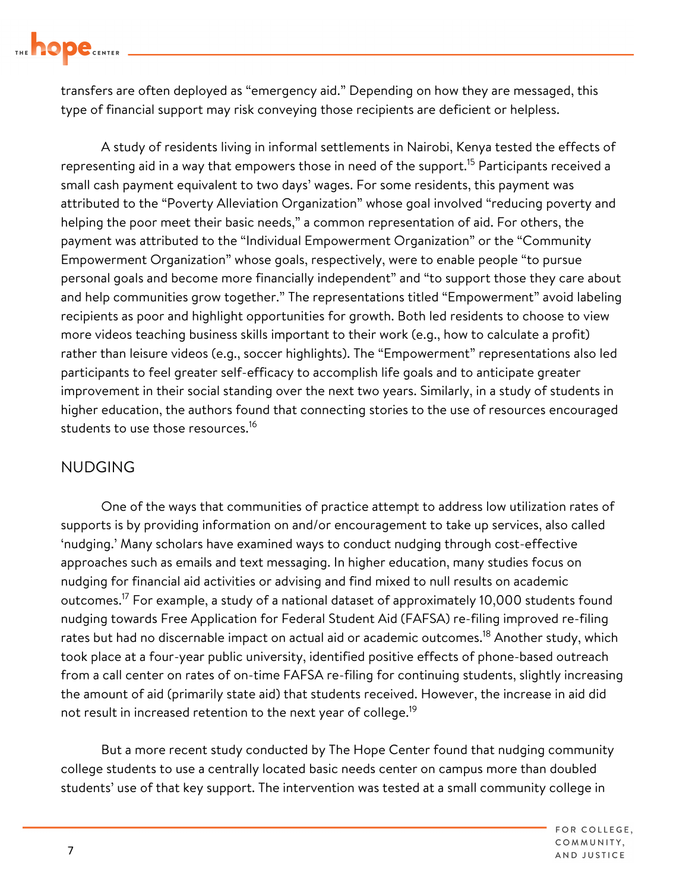

 type of financial support may risk conveying those recipients are deficient or helpless. transfers are often deployed as "emergency aid." Depending on how they are messaged, this

A study of residents living in informal settlements in Nairobi, Kenya tested the effects of representing aid in a way that empowers those in need of the support.<sup>15</sup> Participants received a small cash payment equivalent to two days' wages. For some residents, this payment was attributed to the "Poverty Alleviation Organization" whose goal involved "reducing poverty and helping the poor meet their basic needs," a common representation of aid. For others, the payment was attributed to the "Individual Empowerment Organization" or the "Community Empowerment Organization" whose goals, respectively, were to enable people "to pursue personal goals and become more financially independent" and "to support those they care about and help communities grow together." The representations titled "Empowerment" avoid labeling recipients as poor and highlight opportunities for growth. Both led residents to choose to view more videos teaching business skills important to their work (e.g., how to calculate a profit) rather than leisure videos (e.g., soccer highlights). The "Empowerment" representations also led participants to feel greater self-efficacy to accomplish life goals and to anticipate greater improvement in their social standing over the next two years. Similarly, in a study of students in higher education, the authors found that connecting stories to the use of resources encouraged students to use those [resources.](https://resources.16)<sup>16</sup>

#### NUDGING

One of the ways that communities of practice attempt to address low utilization rates of supports is by providing information on and/or encouragement to take up services, also called 'nudging.' Many scholars have examined ways to conduct nudging through cost-effective approaches such as emails and text messaging. In higher education, many studies focus on nudging for financial aid activities or advising and find mixed to null results on academic outcomes.<sup>17</sup> For example, a study of a national dataset of approximately 10,000 students found nudging towards Free Application for Federal Student Aid (FAFSA) re-filing improved re-filing rates but had no discernable impact on actual aid or academic [outcomes.](https://outcomes.18)<sup>18</sup> Another study, which took place at a four-year public university, identified positive effects of phone-based outreach from a call center on rates of on-time FAFSA re-filing for continuing students, slightly increasing the amount of aid (primarily state aid) that students received. However, the increase in aid did not result in increased retention to the next year of [college.](https://college.19)<sup>19</sup>

But a more recent study conducted by The Hope Center found that nudging community college students to use a centrally located basic needs center on campus more than doubled students' use of that key support. The intervention was tested at a small community college in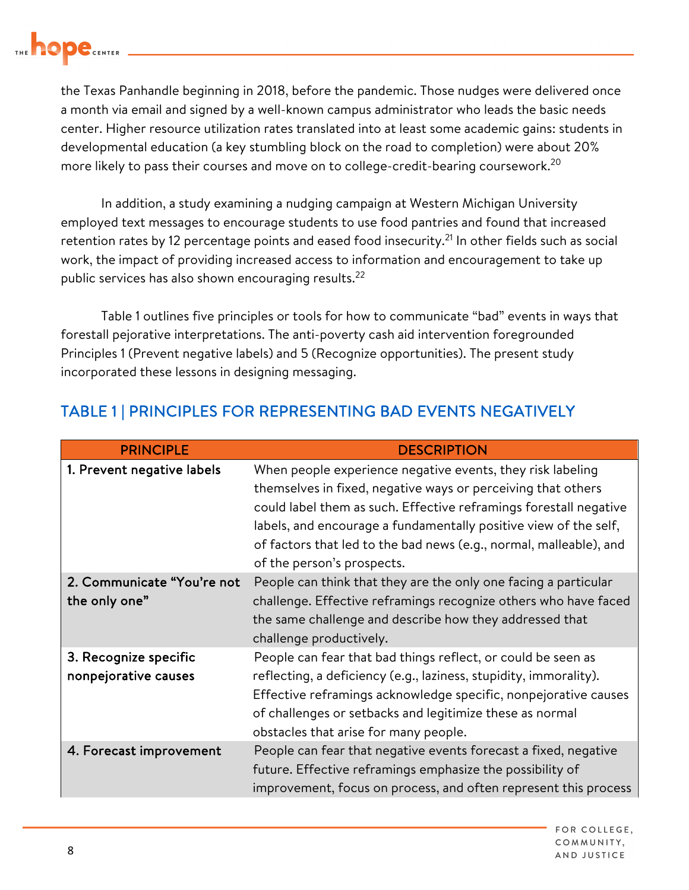

the Texas Panhandle beginning in 2018, before the pandemic. Those nudges were delivered once a month via email and signed by a well-known campus administrator who leads the basic needs center. Higher resource utilization rates translated into at least some academic gains: students in developmental education (a key stumbling block on the road to completion) were about 20% more likely to pass their courses and move on to college-credit-bearing coursework.<sup>20</sup>

In addition, a study examining a nudging campaign at Western Michigan University employed text messages to encourage students to use food pantries and found that increased retention rates by 12 percentage points and eased food insecurity.<sup>21</sup> In other fields such as social work, the impact of providing increased access to information and encouragement to take up public services has also shown encouraging [results.](https://results.22)<sup>22</sup>

Table 1 outlines five principles or tools for how to communicate "bad" events in ways that forestall pejorative interpretations. The anti-poverty cash aid intervention foregrounded Principles 1 (Prevent negative labels) and 5 (Recognize opportunities). The present study incorporated these lessons in designing messaging.

| <b>PRINCIPLE</b>                              | <b>DESCRIPTION</b>                                                                                                                                                                                                                                                                                                                                                      |
|-----------------------------------------------|-------------------------------------------------------------------------------------------------------------------------------------------------------------------------------------------------------------------------------------------------------------------------------------------------------------------------------------------------------------------------|
| 1. Prevent negative labels                    | When people experience negative events, they risk labeling<br>themselves in fixed, negative ways or perceiving that others<br>could label them as such. Effective reframings forestall negative<br>labels, and encourage a fundamentally positive view of the self,<br>of factors that led to the bad news (e.g., normal, malleable), and<br>of the person's prospects. |
| 2. Communicate "You're not<br>the only one"   | People can think that they are the only one facing a particular<br>challenge. Effective reframings recognize others who have faced<br>the same challenge and describe how they addressed that<br>challenge productively.                                                                                                                                                |
| 3. Recognize specific<br>nonpejorative causes | People can fear that bad things reflect, or could be seen as<br>reflecting, a deficiency (e.g., laziness, stupidity, immorality).<br>Effective reframings acknowledge specific, nonpejorative causes<br>of challenges or setbacks and legitimize these as normal<br>obstacles that arise for many people.                                                               |
| 4. Forecast improvement                       | People can fear that negative events forecast a fixed, negative<br>future. Effective reframings emphasize the possibility of<br>improvement, focus on process, and often represent this process                                                                                                                                                                         |

### TABLE 1 | PRINCIPLES FOR REPRESENTING BAD EVENTS NEGATIVELY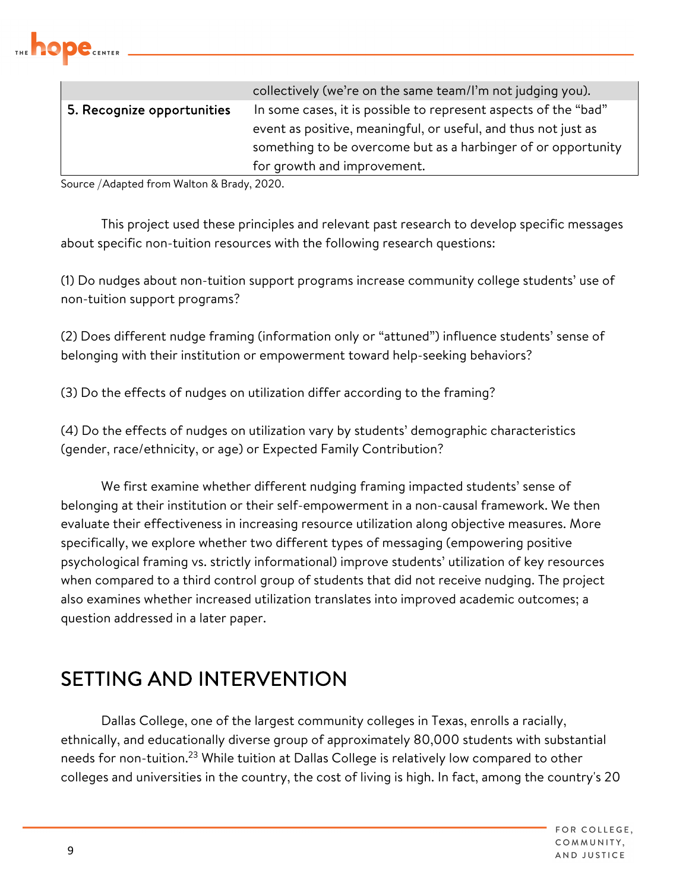

|                            | collectively (we're on the same team/I'm not judging you).      |
|----------------------------|-----------------------------------------------------------------|
| 5. Recognize opportunities | In some cases, it is possible to represent aspects of the "bad" |
|                            | event as positive, meaningful, or useful, and thus not just as  |
|                            | something to be overcome but as a harbinger of or opportunity   |
|                            | for growth and improvement.                                     |

Source | Adapted from Walton & Brady, 2020.

This project used these principles and relevant past research to develop specific messages about specific non-tuition resources with the following research questions:

(1) Do nudges about non-tuition support programs increase community college students' use of non-tuition support programs?

 (2) Does different nudge framing (information only or "attuned") influence students' sense of belonging with their institution or empowerment toward help-seeking behaviors?

(3) Do the effects of nudges on utilization differ according to the framing?

(4) Do the effects of nudges on utilization vary by students' demographic characteristics (gender, race/ethnicity, or age) or Expected Family Contribution?

We first examine whether different nudging framing impacted students' sense of belonging at their institution or their self-empowerment in a non-causal framework. We then evaluate their effectiveness in increasing resource utilization along objective measures. More specifically, we explore whether two different types of messaging (empowering positive psychological framing vs. strictly informational) improve students' utilization of key resources when compared to a third control group of students that did not receive nudging. The project also examines whether increased utilization translates into improved academic outcomes; a question addressed in a later paper.

## SETTING AND INTERVENTION

Dallas College, one of the largest community colleges in Texas, enrolls a racially, ethnically, and educationally diverse group of approximately 80,000 students with substantial needs for non-tuition.<sup>23</sup> While tuition at Dallas College is relatively low compared to other colleges and universities in the country, the cost of living is high. In fact, among the country's 20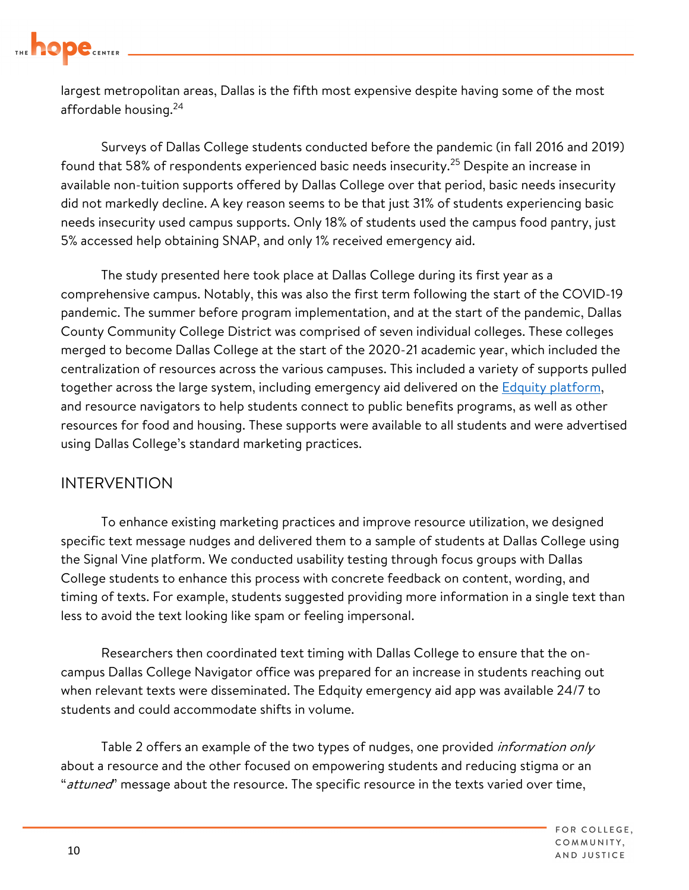

largest metropolitan areas, Dallas is the fifth most expensive despite having some of the most affordable housing.<sup>24</sup>

Surveys of Dallas College students conducted before the pandemic (in fall 2016 and 2019) found that 58% of respondents experienced basic needs [insecurity.](https://insecurity.25)<sup>25</sup> Despite an increase in available non-tuition supports offered by Dallas College over that period, basic needs insecurity did not markedly decline. A key reason seems to be that just 31% of students experiencing basic needs insecurity used campus supports. Only 18% of students used the campus food pantry, just 5% accessed help obtaining SNAP, and only 1% received emergency aid.

 The study presented here took place at Dallas College during its first year as a comprehensive campus. Notably, this was also the first term following the start of the COVID-19 pandemic. The summer before program implementation, and at the start of the pandemic, Dallas County Community College District was comprised of seven individual colleges. These colleges merged to become Dallas College at the start of the 2020-21 academic year, which included the centralization of resources across the various campuses. This included a variety of supports pulled together across the large system, including emergency aid delivered on the **Edquity platform**, and resource navigators to help students connect to public benefits programs, as well as other resources for food and housing. These supports were available to all students and were advertised using Dallas College's standard marketing practices.

#### INTERVENTION

To enhance existing marketing practices and improve resource utilization, we designed specific text message nudges and delivered them to a sample of students at Dallas College using the Signal Vine platform. We conducted usability testing through focus groups with Dallas College students to enhance this process with concrete feedback on content, wording, and timing of texts. For example, students suggested providing more information in a single text than less to avoid the text looking like spam or feeling impersonal.

Researchers then coordinated text timing with Dallas College to ensure that the oncampus Dallas College Navigator office was prepared for an increase in students reaching out when relevant texts were disseminated. The Edquity emergency aid app was available 24/7 to students and could accommodate shifts in volume.

Table 2 offers an example of the two types of nudges, one provided *information only* about a resource and the other focused on empowering students and reducing stigma or an "attuned" message about the resource. The specific resource in the texts varied over time,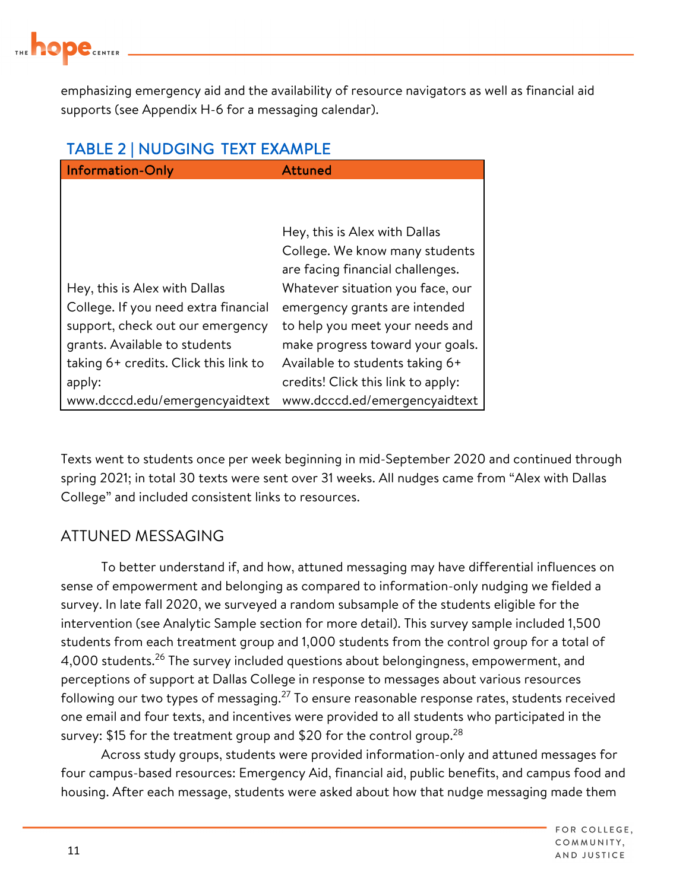

emphasizing emergency aid and the availability of resource navigators as well as financial aid supports (see Appendix H-6 for a messaging calendar).

#### TABLE 2 | NUDGING TEXT EXAMPLE

| <b>Information-Only</b>               | <b>Attuned</b>                     |
|---------------------------------------|------------------------------------|
|                                       |                                    |
|                                       |                                    |
|                                       | Hey, this is Alex with Dallas      |
|                                       | College. We know many students     |
|                                       | are facing financial challenges.   |
| Hey, this is Alex with Dallas         | Whatever situation you face, our   |
| College. If you need extra financial  | emergency grants are intended      |
| support, check out our emergency      | to help you meet your needs and    |
| grants. Available to students         | make progress toward your goals.   |
| taking 6+ credits. Click this link to | Available to students taking 6+    |
| apply:                                | credits! Click this link to apply: |
| www.dcccd.edu/emergencyaidtext        | www.dcccd.ed/emergencyaidtext      |

Texts went to students once per week beginning in mid-September 2020 and continued through spring 2021; in total 30 texts were sent over 31 weeks. All nudges came from "Alex with Dallas College" and included consistent links to resources.

#### ATTUNED MESSAGING

following our two types of [messaging.](https://messaging.27) $^{27}$  To ensure reasonable response rates, students received survey: \$15 for the treatment group and \$20 for the control group. $^{28}$ To better understand if, and how, attuned messaging may have differential influences on sense of empowerment and belonging as compared to information-only nudging we fielded a survey. In late fall 2020, we surveyed a random subsample of the students eligible for the intervention (see Analytic Sample section for more detail). This survey sample included 1,500 students from each treatment group and 1,000 students from the control group for a total of 4,000 students.<sup>26</sup> The survey included questions about belongingness, empowerment, and perceptions of support at Dallas College in response to messages about various resources one email and four texts, and incentives were provided to all students who participated in the

Across study groups, students were provided information-only and attuned messages for four campus-based resources: Emergency Aid, financial aid, public benefits, and campus food and housing. After each message, students were asked about how that nudge messaging made them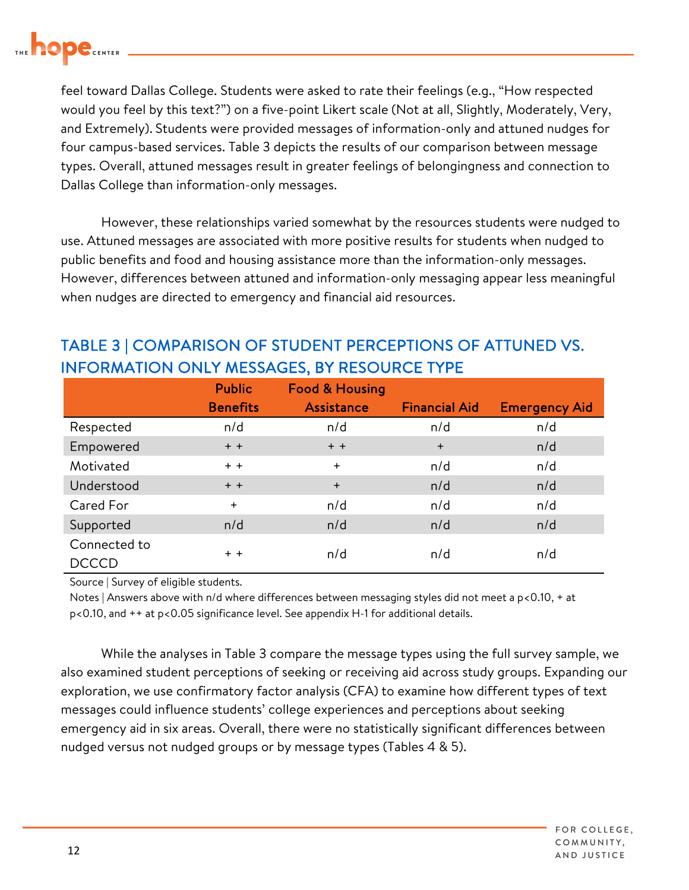

feel toward Dallas College. Students were asked to rate their feelings (e.g., "How respected would you feel by this text?") on a five-point Likert scale (Not at all, Slightly, Moderately, Very, and Extremely). Students were provided messages of information-only and attuned nudges for four campus-based services. Table 3 depicts the results of our comparison between message types. Overall, attuned messages result in greater feelings of belongingness and connection to Dallas College than information-only messages.

However, these relationships varied somewhat by the resources students were nudged to use. Attuned messages are associated with more positive results for students when nudged to public benefits and food and housing assistance more than the information-only messages. However, differences between attuned and information-only messaging appear less meaningful when nudges are directed to emergency and financial aid resources.

|                              | <b>Public</b>   | <b>Food &amp; Housing</b> |                      |                      |
|------------------------------|-----------------|---------------------------|----------------------|----------------------|
|                              | <b>Benefits</b> | Assistance                | <b>Financial Aid</b> | <b>Emergency Aid</b> |
| Respected                    | n/d             | n/d                       | n/d                  | n/d                  |
| Empowered                    | $+$ +           | $+ +$                     | $+$                  | n/d                  |
| Motivated                    | $+ +$           | $+$                       | n/d                  | n/d                  |
| Understood                   | $+$ +           | $+$                       | n/d                  | n/d                  |
| Cared For                    | $+$             | n/d                       | n/d                  | n/d                  |
| Supported                    | n/d             | n/d                       | n/d                  | n/d                  |
| Connected to<br><b>DCCCD</b> | $+ +$           | n/d                       | n/d                  | n/d                  |

## TABLE 3 | COMPARISON OF STUDENT PERCEPTIONS OF ATTUNED VS. ILV MESSAGES, BY RESOURCE TYPE

Source | Survey of eligible students.

 Notes | Answers above with n/d where differences between messaging styles did not meet a p<0.10, + at p<0.10, and ++ at p<0.05 significance level. See appendix H-1 for additional details.

 also examined student perceptions of seeking or receiving aid across study groups. Expanding our While the analyses in Table 3 compare the message types using the full survey sample, we exploration, we use confirmatory factor analysis (CFA) to examine how different types of text messages could influence students' college experiences and perceptions about seeking emergency aid in six areas. Overall, there were no statistically significant differences between nudged versus not nudged groups or by message types (Tables 4 & 5).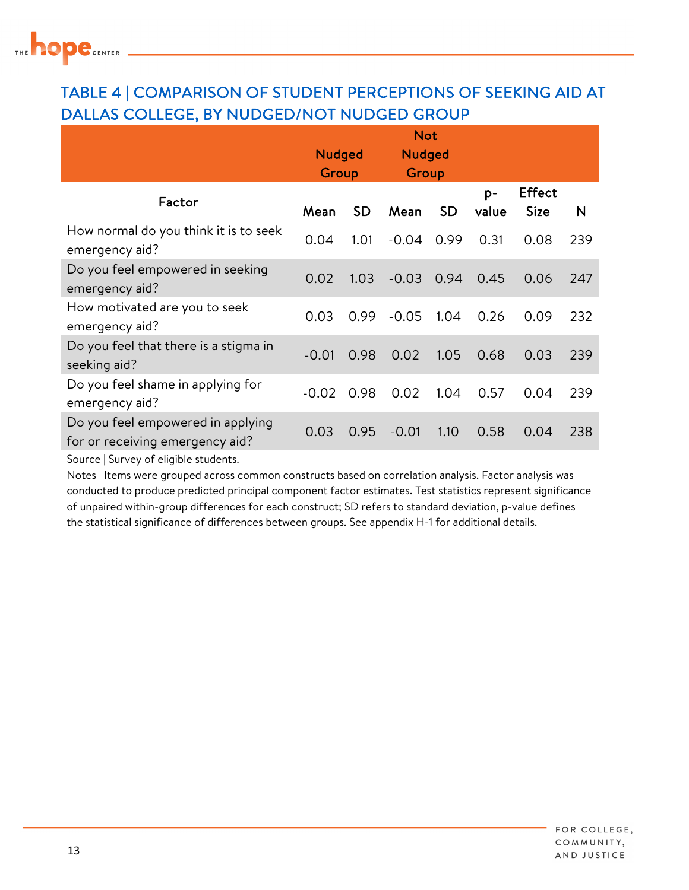

### TABLE 4 | COMPARISON OF STUDENT PERCEPTIONS OF SEEKING AID AT DALLAS COLLEGE, BY NUDGED/NOT NUDGED GROUP

|                                                                      | <b>Not</b>    |           |               |           |               |                              |     |
|----------------------------------------------------------------------|---------------|-----------|---------------|-----------|---------------|------------------------------|-----|
|                                                                      | <b>Nudged</b> |           | <b>Nudged</b> |           |               |                              |     |
|                                                                      | Group         |           | Group         |           |               |                              |     |
| Factor                                                               | Mean          | <b>SD</b> | Mean          | <b>SD</b> | $p-$<br>value | <b>Effect</b><br><b>Size</b> | N   |
| How normal do you think it is to seek<br>emergency aid?              | 0.04          | 1.01      | $-0.04$       | 0.99      | 0.31          | 0.08                         | 239 |
| Do you feel empowered in seeking<br>emergency aid?                   | 0.02          | 1.03      | $-0.03$       | 0.94      | 0.45          | 0.06                         | 247 |
| How motivated are you to seek<br>emergency aid?                      | 0.03          | 0.99      | $-0.05$       | 1.04      | 0.26          | 0.09                         | 232 |
| Do you feel that there is a stigma in<br>seeking aid?                | $-0.01$       | 0.98      | 0.02          | 1.05      | 0.68          | 0.03                         | 239 |
| Do you feel shame in applying for<br>emergency aid?                  | $-0.02$       | 0.98      | 0.02          | 1.04      | 0.57          | 0.04                         | 239 |
| Do you feel empowered in applying<br>for or receiving emergency aid? | 0.03          | 0.95      | $-0.01$       | 1.10      | 0.58          | 0.04                         | 238 |

Source | Survey of eligible students.

 conducted to produce predicted principal component factor estimates. Test statistics represent significance of unpaired within-group differences for each construct; SD refers to standard deviation, p-value defines the statistical significance of differences between groups. See appendix H-1 for additional details. Notes | Items were grouped across common constructs based on correlation analysis. Factor analysis was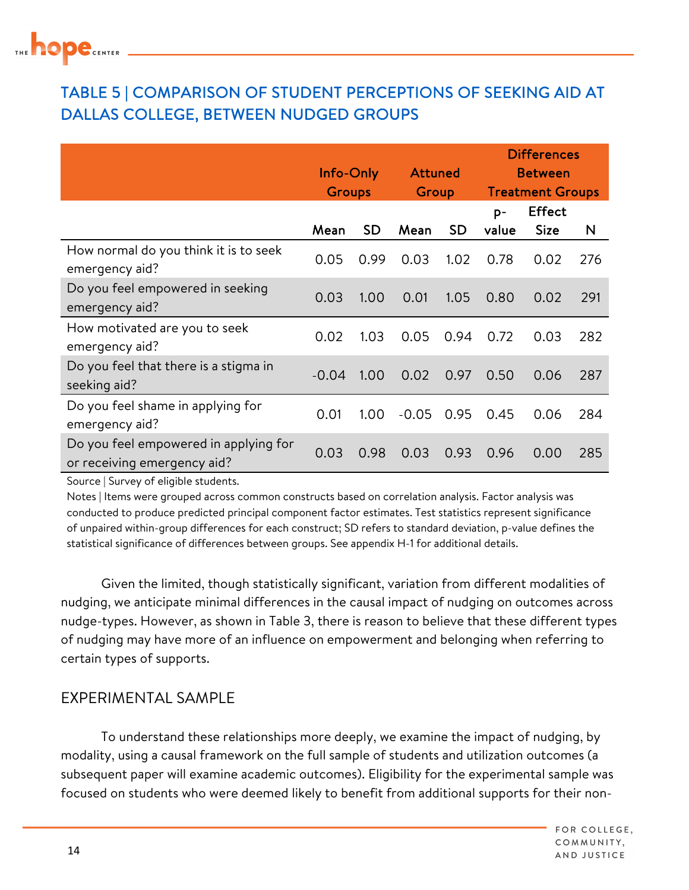### TABLE 5 | COMPARISON OF STUDENT PERCEPTIONS OF SEEKING AID AT DALLAS COLLEGE, BETWEEN NUDGED GROUPS

|                                                                      | Info-Only     |           | <b>Attuned</b> |      | <b>Differences</b><br><b>Between</b> |               |     |
|----------------------------------------------------------------------|---------------|-----------|----------------|------|--------------------------------------|---------------|-----|
|                                                                      | <b>Groups</b> |           | Group          |      | <b>Treatment Groups</b>              |               |     |
|                                                                      |               |           |                |      | p-                                   | <b>Effect</b> |     |
|                                                                      | Mean          | <b>SD</b> | Mean           | SD.  | value                                | <b>Size</b>   | N   |
| How normal do you think it is to seek<br>emergency aid?              | 0.05          | 0.99      | 0.03           | 1.02 | 0.78                                 | 0.02          | 276 |
| Do you feel empowered in seeking<br>emergency aid?                   | 0.03          | 1.00      | 0.01           | 1.05 | 0.80                                 | 0.02          | 291 |
| How motivated are you to seek<br>emergency aid?                      | 0.02          | 1.03      | 0.05           | 0.94 | 0.72                                 | 0.03          | 282 |
| Do you feel that there is a stigma in<br>seeking aid?                | $-0.04$       | 1.00      | 0.02           | 0.97 | 0.50                                 | 0.06          | 287 |
| Do you feel shame in applying for<br>emergency aid?                  | 0.01          | 1.00      | $-0.05$        | 0.95 | 0.45                                 | 0.06          | 284 |
| Do you feel empowered in applying for<br>or receiving emergency aid? | 0.03          | 0.98      | 0.03           | 0.93 | 0.96                                 | 0.00          | 285 |

Source | Survey of eligible students.

 Notes | Items were grouped across common constructs based on correlation analysis. Factor analysis was conducted to produce predicted principal component factor estimates. Test statistics represent significance of unpaired within-group differences for each construct; SD refers to standard deviation, p-value defines the statistical significance of differences between groups. See appendix H-1 for additional details.

Given the limited, though statistically significant, variation from different modalities of nudging, we anticipate minimal differences in the causal impact of nudging on outcomes across nudge-types. However, as shown in Table 3, there is reason to believe that these different types of nudging may have more of an influence on empowerment and belonging when referring to certain types of supports.

#### EXPERIMENTAL SAMPLE

To understand these relationships more deeply, we examine the impact of nudging, by modality, using a causal framework on the full sample of students and utilization outcomes (a subsequent paper will examine academic outcomes). Eligibility for the experimental sample was focused on students who were deemed likely to benefit from additional supports for their non-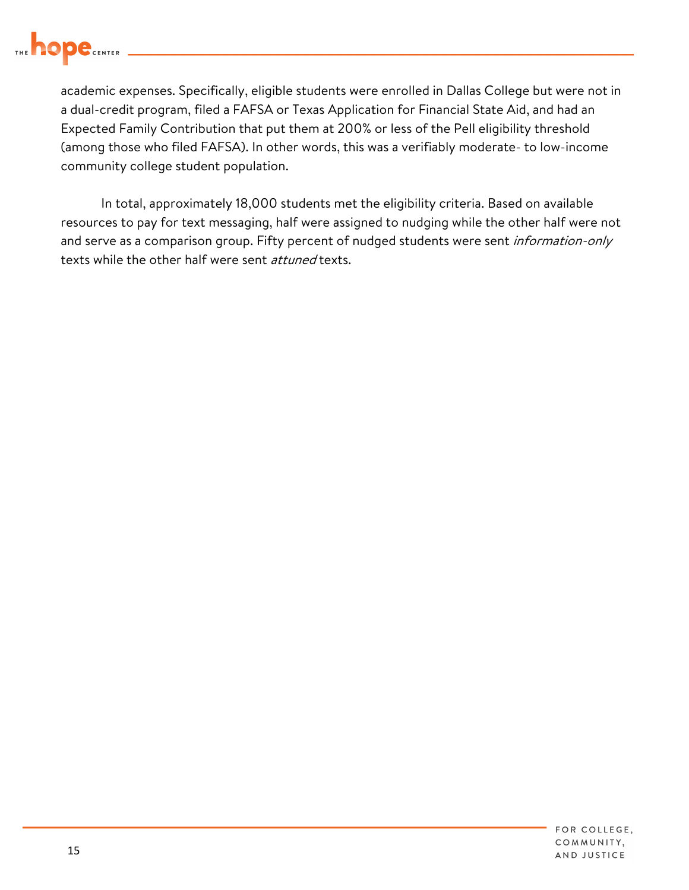

academic expenses. Specifically, eligible students were enrolled in Dallas College but were not in a dual-credit program, filed a FAFSA or Texas Application for Financial State Aid, and had an Expected Family Contribution that put them at 200% or less of the Pell eligibility threshold (among those who filed FAFSA). In other words, this was a verifiably moderate- to low-income community college student population.

texts while the other half were sent *attuned* texts. In total, approximately 18,000 students met the eligibility criteria. Based on available resources to pay for text messaging, half were assigned to nudging while the other half were not and serve as a comparison group. Fifty percent of nudged students were sent *information-only*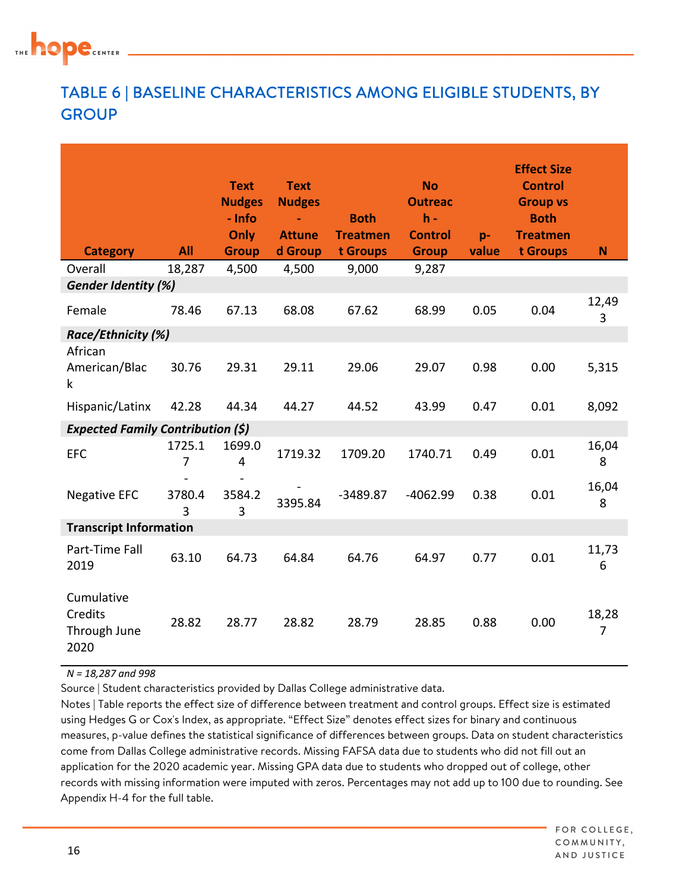

### TABLE 6 | BASELINE CHARACTERISTICS AMONG ELIGIBLE STUDENTS, BY **GROUP**

| <b>Category</b>                               | All         | <b>Text</b><br><b>Nudges</b><br>- Info<br>Only<br><b>Group</b> | <b>Text</b><br><b>Nudges</b><br>$\blacksquare$<br><b>Attune</b><br>d Group | <b>Both</b><br><b>Treatmen</b><br>t Groups | <b>No</b><br><b>Outreac</b><br>$h -$<br><b>Control</b><br><b>Group</b> | p-<br>value | <b>Effect Size</b><br><b>Control</b><br><b>Group vs</b><br><b>Both</b><br><b>Treatmen</b><br>t Groups | N                       |
|-----------------------------------------------|-------------|----------------------------------------------------------------|----------------------------------------------------------------------------|--------------------------------------------|------------------------------------------------------------------------|-------------|-------------------------------------------------------------------------------------------------------|-------------------------|
| Overall                                       | 18,287      | 4,500                                                          | 4,500                                                                      | 9,000                                      | 9,287                                                                  |             |                                                                                                       |                         |
| <b>Gender Identity (%)</b>                    |             |                                                                |                                                                            |                                            |                                                                        |             |                                                                                                       |                         |
| Female                                        | 78.46       | 67.13                                                          | 68.08                                                                      | 67.62                                      | 68.99                                                                  | 0.05        | 0.04                                                                                                  | 12,49<br>3              |
| Race/Ethnicity (%)                            |             |                                                                |                                                                            |                                            |                                                                        |             |                                                                                                       |                         |
| African<br>American/Blac<br>$\mathsf k$       | 30.76       | 29.31                                                          | 29.11                                                                      | 29.06                                      | 29.07                                                                  | 0.98        | 0.00                                                                                                  | 5,315                   |
| Hispanic/Latinx                               | 42.28       | 44.34                                                          | 44.27                                                                      | 44.52                                      | 43.99                                                                  | 0.47        | 0.01                                                                                                  | 8,092                   |
| <b>Expected Family Contribution (\$)</b>      |             |                                                                |                                                                            |                                            |                                                                        |             |                                                                                                       |                         |
| <b>EFC</b>                                    | 1725.1<br>7 | 1699.0<br>$\overline{4}$                                       | 1719.32                                                                    | 1709.20                                    | 1740.71                                                                | 0.49        | 0.01                                                                                                  | 16,04<br>8              |
| <b>Negative EFC</b>                           | 3780.4<br>3 | 3584.2<br>$\overline{3}$                                       | 3395.84                                                                    | $-3489.87$                                 | $-4062.99$                                                             | 0.38        | 0.01                                                                                                  | 16,04<br>8              |
| <b>Transcript Information</b>                 |             |                                                                |                                                                            |                                            |                                                                        |             |                                                                                                       |                         |
| Part-Time Fall<br>2019                        | 63.10       | 64.73                                                          | 64.84                                                                      | 64.76                                      | 64.97                                                                  | 0.77        | 0.01                                                                                                  | 11,73<br>6              |
| Cumulative<br>Credits<br>Through June<br>2020 | 28.82       | 28.77                                                          | 28.82                                                                      | 28.79                                      | 28.85                                                                  | 0.88        | 0.00                                                                                                  | 18,28<br>$\overline{7}$ |

 *N = 18,287 and 998* 

Source | Student characteristics provided by Dallas College administrative data.

 Notes | Table reports the effect size of difference between treatment and control groups. Effect size is estimated using Hedges G or Cox's Index, as appropriate. "Effect Size" denotes effect sizes for binary and continuous measures, p-value defines the statistical significance of differences between groups. Data on student characteristics come from Dallas College administrative records. Missing FAFSA data due to students who did not fill out an application for the 2020 academic year. Missing GPA data due to students who dropped out of college, other records with missing information were imputed with zeros. Percentages may not add up to 100 due to rounding. See Appendix H-4 for the full table.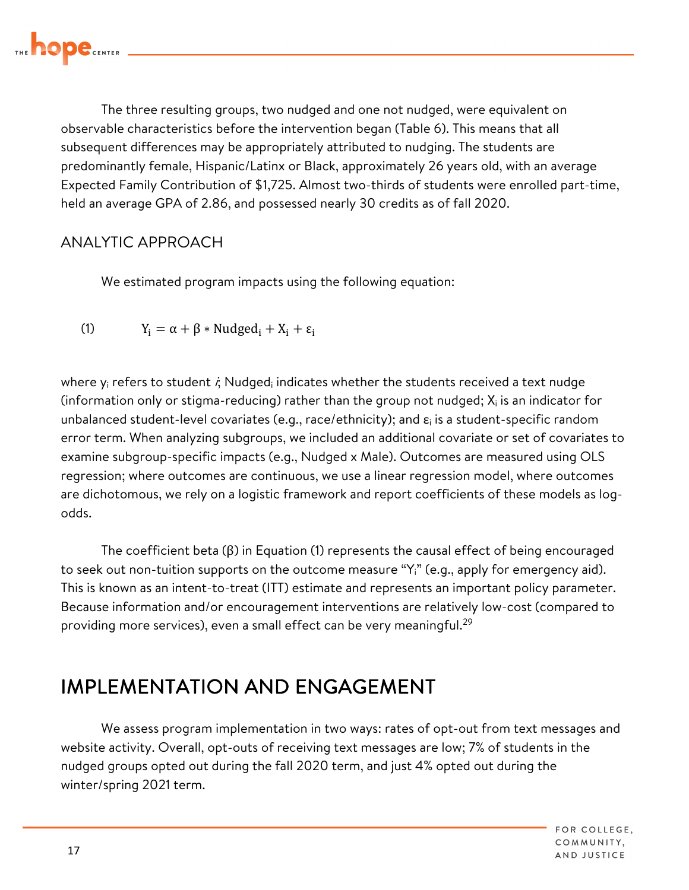

The three resulting groups, two nudged and one not nudged, were equivalent on observable characteristics before the intervention began (Table 6). This means that all subsequent differences may be appropriately attributed to nudging. The students are predominantly female, Hispanic/Latinx or Black, approximately 26 years old, with an average Expected Family Contribution of \$1,725. Almost two-thirds of students were enrolled part-time, held an average GPA of 2.86, and possessed nearly 30 credits as of fall 2020.

#### ANALYTIC APPROACH

We estimated program impacts using the following equation:

(1)  $Y_i = \alpha + \beta * Nudged_i + X_i + \varepsilon_i$ 

where  $\mathsf{y}_\mathsf{i}$  refers to student  $\dot{\mathsf{z}},$  Nudged $_\mathsf{i}$  indicates whether the students received a text nudge (information only or stigma-reducing) rather than the group not nudged;  $\boldsymbol{\mathsf{X}}_{\mathsf{i}}$  is an indicator for unbalanced student-level covariates (e.g., race/ethnicity); and  $\varepsilon_i$  is a student-specific random error term. When analyzing subgroups, we included an additional covariate or set of covariates to examine subgroup-specific impacts (e.g., Nudged x Male). Outcomes are measured using OLS regression; where outcomes are continuous, we use a linear regression model, where outcomes are dichotomous, we rely on a logistic framework and report coefficients of these models as logodds.

providing more services), even a small effect can be very [meaningful.](https://meaningful.29) $^{29}$ The coefficient beta (β) in Equation (1) represents the causal effect of being encouraged to seek out non-tuition supports on the outcome measure " $Y_i$ " (e.g., apply for emergency aid). This is known as an intent-to-treat (ITT) estimate and represents an important policy parameter. Because information and/or encouragement interventions are relatively low-cost (compared to

## IMPLEMENTATION AND ENGAGEMENT

We assess program implementation in two ways: rates of opt-out from text messages and website activity. Overall, opt-outs of receiving text messages are low; 7% of students in the nudged groups opted out during the fall 2020 term, and just 4% opted out during the winter/spring 2021 term.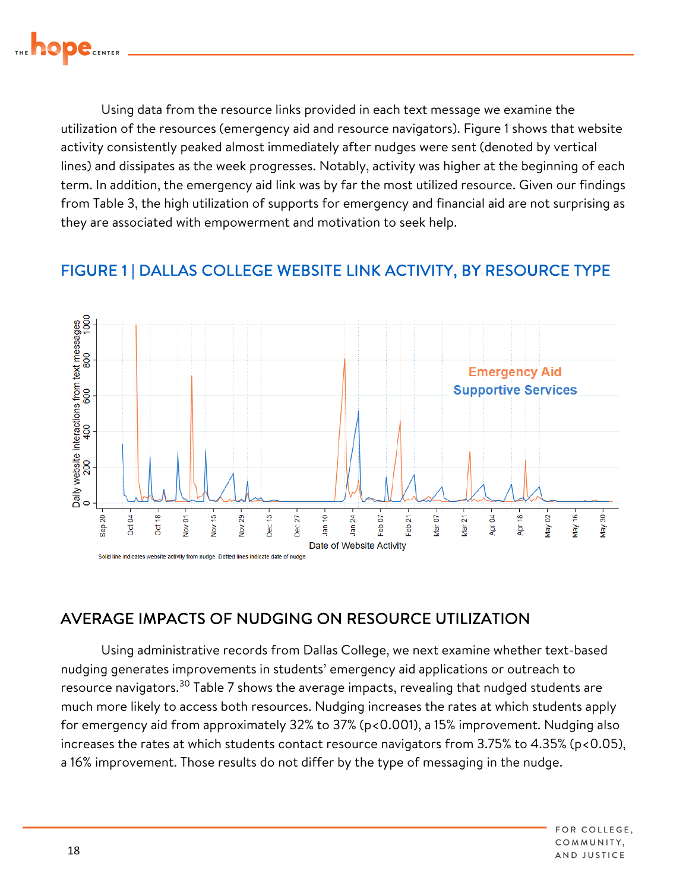

Using data from the resource links provided in each text message we examine the utilization of the resources (emergency aid and resource navigators). Figure 1 shows that website activity consistently peaked almost immediately after nudges were sent (denoted by vertical lines) and dissipates as the week progresses. Notably, activity was higher at the beginning of each term. In addition, the emergency aid link was by far the most utilized resource. Given our findings from Table 3, the high utilization of supports for emergency and financial aid are not surprising as they are associated with empowerment and motivation to seek help.

### FIGURE 1 | DALLAS COLLEGE WEBSITE LINK ACTIVITY, BY RESOURCE TYPE



### AVERAGE IMPACTS OF NUDGING ON RESOURCE UTILIZATION

Using administrative records from Dallas College, we next examine whether text-based nudging generates improvements in students' emergency aid applications or outreach to resource [navigators.](https://navigators.30)<sup>30</sup> Table 7 shows the average impacts, revealing that nudged students are much more likely to access both resources. Nudging increases the rates at which students apply for emergency aid from approximately 32% to 37% (p<0.001), a 15% improvement. Nudging also increases the rates at which students contact resource navigators from 3.75% to 4.35% (p<0.05), a 16% improvement. Those results do not differ by the type of messaging in the nudge.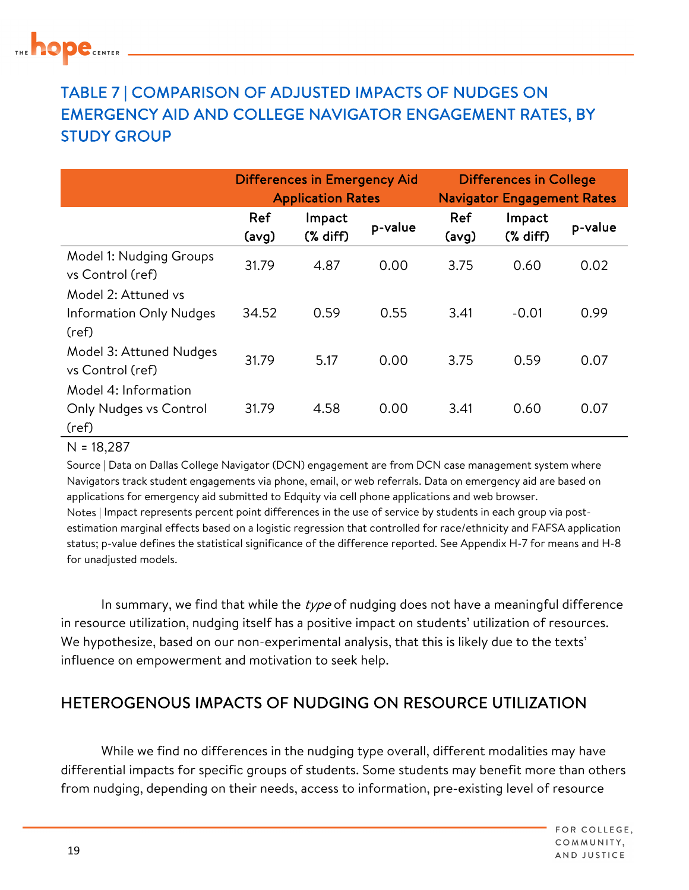### TABLE 7 | COMPARISON OF ADJUSTED IMPACTS OF NUDGES ON EMERGENCY AID AND COLLEGE NAVIGATOR ENGAGEMENT RATES, BY STUDY GROUP

|                                                                | <b>Differences in Emergency Aid</b><br><b>Application Rates</b> |                      |         | <b>Differences in College</b><br><b>Navigator Engagement Rates</b> |                      |         |
|----------------------------------------------------------------|-----------------------------------------------------------------|----------------------|---------|--------------------------------------------------------------------|----------------------|---------|
|                                                                | Ref<br>(avg)                                                    | Impact<br>$(X$ diff) | p-value | Ref<br>(avg)                                                       | Impact<br>$(X$ diff) | p-value |
| Model 1: Nudging Groups<br>vs Control (ref)                    | 31.79                                                           | 4.87                 | 0.00    | 3.75                                                               | 0.60                 | 0.02    |
| Model 2: Attuned vs<br><b>Information Only Nudges</b><br>(ref) | 34.52                                                           | 0.59                 | 0.55    | 3.41                                                               | $-0.01$              | 0.99    |
| Model 3: Attuned Nudges<br>vs Control (ref)                    | 31.79                                                           | 5.17                 | 0.00    | 3.75                                                               | 0.59                 | 0.07    |
| Model 4: Information<br>Only Nudges vs Control<br>(ref)        | 31.79                                                           | 4.58                 | 0.00    | 3.41                                                               | 0.60                 | 0.07    |

 $N = 18,287$ 

 Source | Data on Dallas College Navigator (DCN) engagement are from DCN case management system where Navigators track student engagements via phone, email, or web referrals. Data on emergency aid are based on applications for emergency aid submitted to Edquity via cell phone applications and web browser. estimation marginal effects based on a logistic regression that controlled for race/ethnicity and FAFSA application Notes | Impact represents percent point differences in the use of service by students in each group via poststatus; p-value defines the statistical significance of the difference reported. See Appendix H-7 for means and H-8 for unadjusted models.

In summary, we find that while the type of nudging does not have a meaningful difference in resource utilization, nudging itself has a positive impact on students' utilization of resources. We hypothesize, based on our non-experimental analysis, that this is likely due to the texts' influence on empowerment and motivation to seek help.

### HETEROGENOUS IMPACTS OF NUDGING ON RESOURCE UTILIZATION

While we find no differences in the nudging type overall, different modalities may have differential impacts for specific groups of students. Some students may benefit more than others from nudging, depending on their needs, access to information, pre-existing level of resource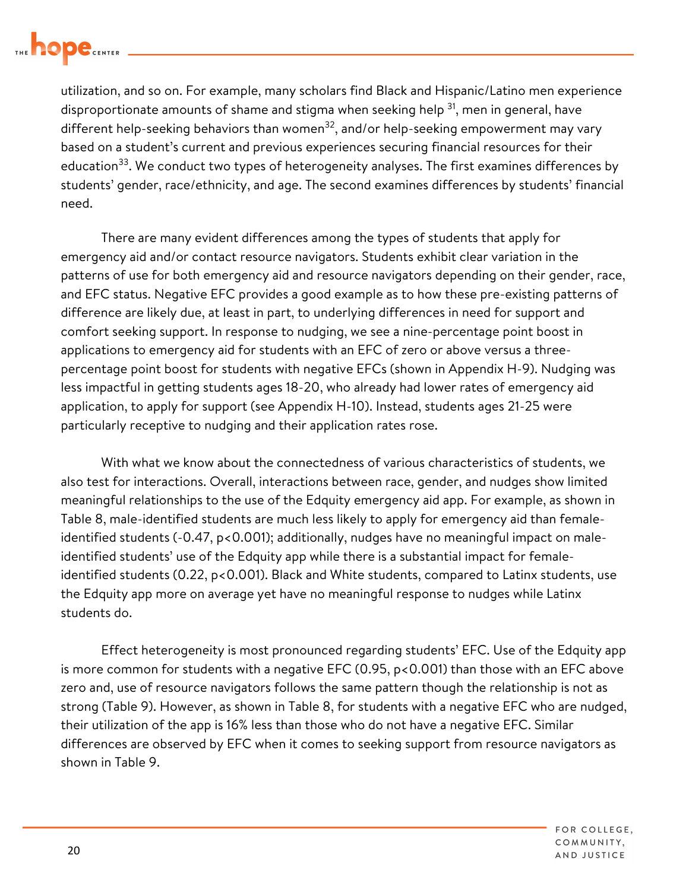

 utilization, and so on. For example, many scholars find Black and Hispanic/Latino men experience disproportionate amounts of shame and stigma when seeking help  $^{31}$ , men in general, have education<sup>33</sup>. We conduct two types of heterogeneity analyses. The first examines differences by students' gender, race/ethnicity, and age. The second examines differences by students' financial different help-seeking behaviors than women<sup>32</sup>, and/or help-seeking empowerment may vary based on a student's current and previous experiences securing financial resources for their need.

There are many evident differences among the types of students that apply for emergency aid and/or contact resource navigators. Students exhibit clear variation in the patterns of use for both emergency aid and resource navigators depending on their gender, race, and EFC status. Negative EFC provides a good example as to how these pre-existing patterns of difference are likely due, at least in part, to underlying differences in need for support and comfort seeking support. In response to nudging, we see a nine-percentage point boost in applications to emergency aid for students with an EFC of zero or above versus a threepercentage point boost for students with negative EFCs (shown in Appendix H-9). Nudging was less impactful in getting students ages 18-20, who already had lower rates of emergency aid application, to apply for support (see Appendix H-10). Instead, students ages 21-25 were particularly receptive to nudging and their application rates rose.

 Table 8, male-identified students are much less likely to apply for emergency aid than female- the Edquity app more on average yet have no meaningful response to nudges while Latinx students do. With what we know about the connectedness of various characteristics of students, we also test for interactions. Overall, interactions between race, gender, and nudges show limited meaningful relationships to the use of the Edquity emergency aid app. For example, as shown in identified students (-0.47, p<0.001); additionally, nudges have no meaningful impact on maleidentified students' use of the Edquity app while there is a substantial impact for femaleidentified students (0.22, p<0.001). Black and White students, compared to Latinx students, use

 shown in Table 9. Effect heterogeneity is most pronounced regarding students' EFC. Use of the Edquity app is more common for students with a negative EFC (0.95, p<0.001) than those with an EFC above zero and, use of resource navigators follows the same pattern though the relationship is not as strong (Table 9). However, as shown in Table 8, for students with a negative EFC who are nudged, their utilization of the app is 16% less than those who do not have a negative EFC. Similar differences are observed by EFC when it comes to seeking support from resource navigators as

> FOR COLLEGE. COMMUNITY, AND JUSTICE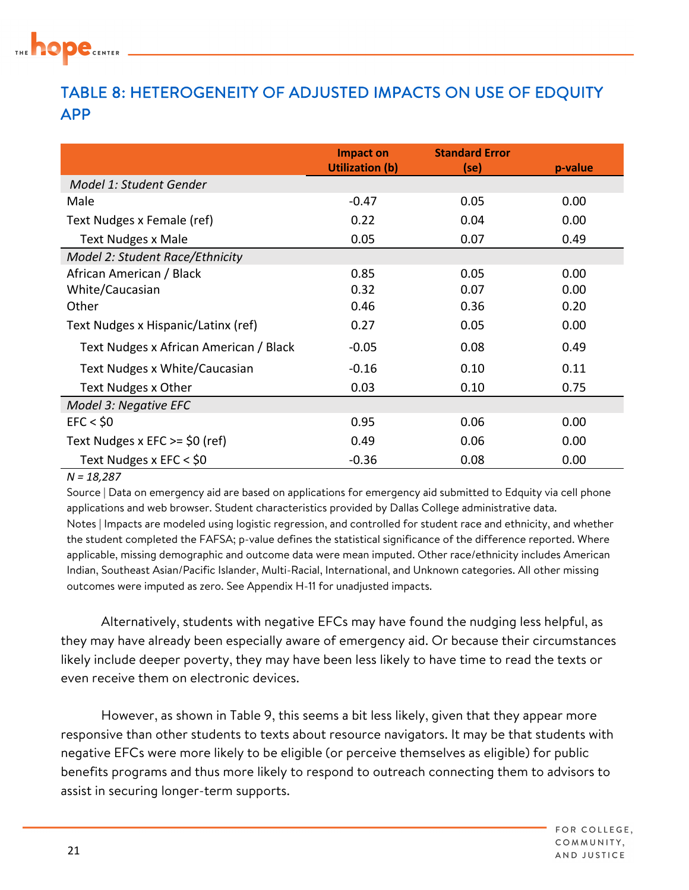

### TABLE 8: HETEROGENEITY OF ADJUSTED IMPACTS ON USE OF EDQUITY APP

|                                        | Impact on<br><b>Utilization (b)</b> | <b>Standard Error</b><br>(se) | p-value |
|----------------------------------------|-------------------------------------|-------------------------------|---------|
| Model 1: Student Gender                |                                     |                               |         |
| Male                                   | $-0.47$                             | 0.05                          | 0.00    |
| Text Nudges x Female (ref)             | 0.22                                | 0.04                          | 0.00    |
| <b>Text Nudges x Male</b>              | 0.05                                | 0.07                          | 0.49    |
| Model 2: Student Race/Ethnicity        |                                     |                               |         |
| African American / Black               | 0.85                                | 0.05                          | 0.00    |
| White/Caucasian                        | 0.32                                | 0.07                          | 0.00    |
| Other                                  | 0.46                                | 0.36                          | 0.20    |
| Text Nudges x Hispanic/Latinx (ref)    | 0.27                                | 0.05                          | 0.00    |
| Text Nudges x African American / Black | $-0.05$                             | 0.08                          | 0.49    |
| Text Nudges x White/Caucasian          | $-0.16$                             | 0.10                          | 0.11    |
| Text Nudges x Other                    | 0.03                                | 0.10                          | 0.75    |
| Model 3: Negative EFC                  |                                     |                               |         |
| EFC < 50                               | 0.95                                | 0.06                          | 0.00    |
| Text Nudges x EFC $>=$ \$0 (ref)       | 0.49                                | 0.06                          | 0.00    |
| Text Nudges x EFC < \$0                | $-0.36$                             | 0.08                          | 0.00    |

#### *N = 18,287*

 Source | Data on emergency aid are based on applications for emergency aid submitted to Edquity via cell phone applications and web browser. Student characteristics provided by Dallas College administrative data. Notes | Impacts are modeled using logistic regression, and controlled for student race and ethnicity, and whether the student completed the FAFSA; p-value defines the statistical significance of the difference reported. Where applicable, missing demographic and outcome data were mean imputed. Other race/ethnicity includes American Indian, Southeast Asian/Pacific Islander, Multi-Racial, International, and Unknown categories. All other missing outcomes were imputed as zero. See Appendix H-11 for unadjusted impacts.

Alternatively, students with negative EFCs may have found the nudging less helpful, as they may have already been especially aware of emergency aid. Or because their circumstances likely include deeper poverty, they may have been less likely to have time to read the texts or even receive them on electronic devices.

However, as shown in Table 9, this seems a bit less likely, given that they appear more responsive than other students to texts about resource navigators. It may be that students with negative EFCs were more likely to be eligible (or perceive themselves as eligible) for public benefits programs and thus more likely to respond to outreach connecting them to advisors to assist in securing longer-term supports.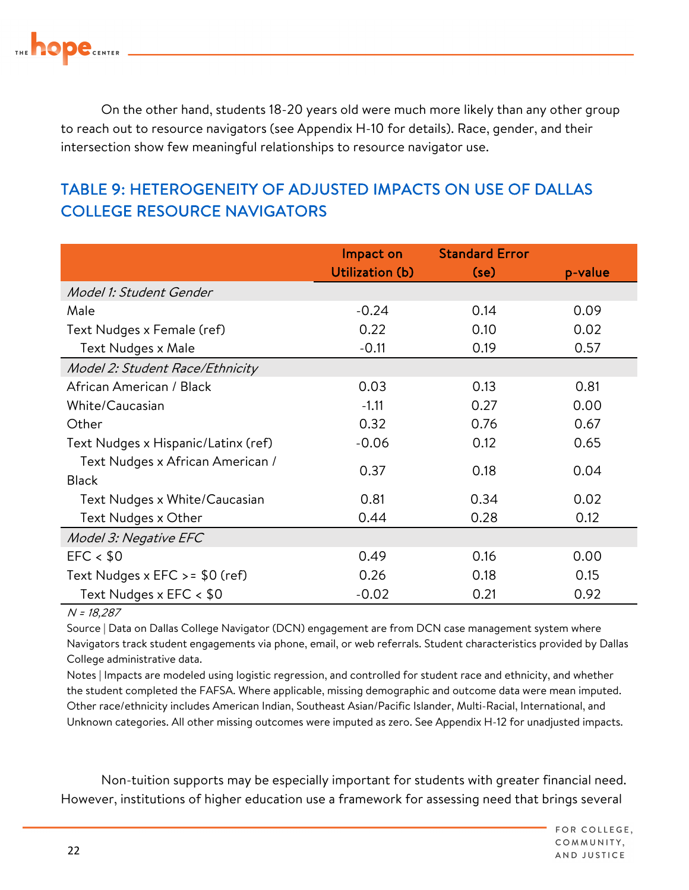

On the other hand, students 18-20 years old were much more likely than any other group to reach out to resource navigators (see Appendix H-10 for details). Race, gender, and their intersection show few meaningful relationships to resource navigator use.

### TABLE 9: HETEROGENEITY OF ADJUSTED IMPACTS ON USE OF DALLAS COLLEGE RESOURCE NAVIGATORS

|                                     | Impact on       | <b>Standard Error</b> |         |
|-------------------------------------|-----------------|-----------------------|---------|
|                                     | Utilization (b) | (se)                  | p-value |
| Model 1: Student Gender             |                 |                       |         |
| Male                                | $-0.24$         | 0.14                  | 0.09    |
| Text Nudges x Female (ref)          | 0.22            | 0.10                  | 0.02    |
| Text Nudges x Male                  | $-0.11$         | 0.19                  | 0.57    |
| Model 2: Student Race/Ethnicity     |                 |                       |         |
| African American / Black            | 0.03            | 0.13                  | 0.81    |
| White/Caucasian                     | $-1.11$         | 0.27                  | 0.00    |
| Other                               | 0.32            | 0.76                  | 0.67    |
| Text Nudges x Hispanic/Latinx (ref) | $-0.06$         | 0.12                  | 0.65    |
| Text Nudges x African American /    | 0.37            | 0.18                  | 0.04    |
| <b>Black</b>                        |                 |                       |         |
| Text Nudges x White/Caucasian       | 0.81            | 0.34                  | 0.02    |
| Text Nudges x Other                 | 0.44            | 0.28                  | 0.12    |
| Model 3: Negative EFC               |                 |                       |         |
| EFC < \$0                           | 0.49            | 0.16                  | 0.00    |
| Text Nudges x $EFC > 50$ (ref)      | 0.26            | 0.18                  | 0.15    |
| Text Nudges x EFC < \$0             | $-0.02$         | 0.21                  | 0.92    |

#### N = 18,287

 Source | Data on Dallas College Navigator (DCN) engagement are from DCN case management system where Navigators track student engagements via phone, email, or web referrals. Student characteristics provided by Dallas College administrative data.

College administrative data.<br>Notes | Impacts are modeled using logistic regression, and controlled for student race and ethnicity, and whether the student completed the FAFSA. Where applicable, missing demographic and outcome data were mean imputed. Other race/ethnicity includes American Indian, Southeast Asian/Pacific Islander, Multi-Racial, International, and Unknown categories. All other missing outcomes were imputed as zero. See Appendix H-12 for unadjusted impacts.

Non-tuition supports may be especially important for students with greater financial need. However, institutions of higher education use a framework for assessing need that brings several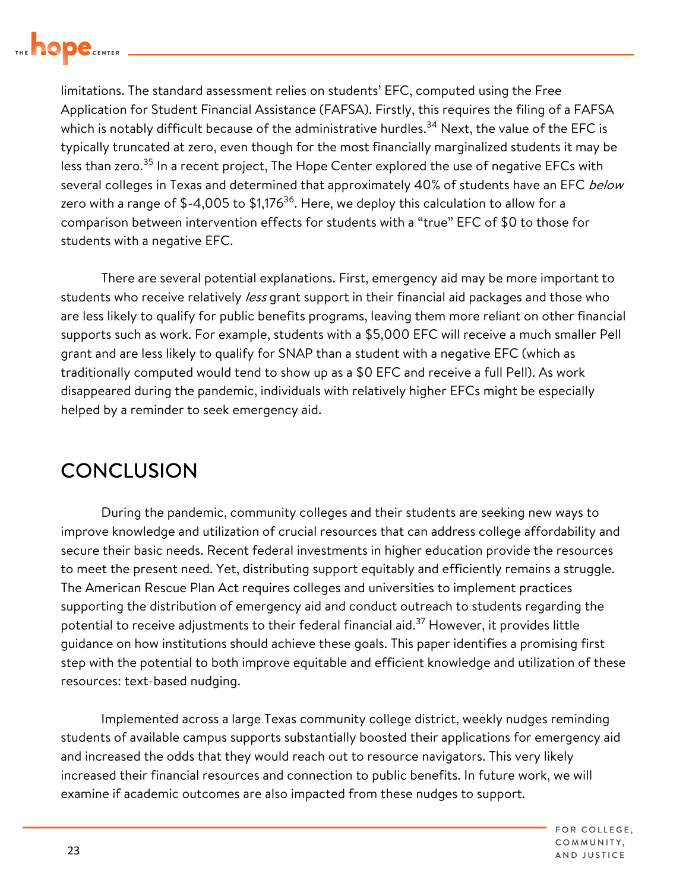

limitations. The standard assessment relies on students' EFC, computed using the Free Application for Student Financial Assistance (FAFSA). Firstly, this requires the filing of a FAFSA which is notably difficult because of the administrative [hurdles.](https://hurdles.34)<sup>34</sup> Next, the value of the EFC is typically truncated at zero, even though for the most financially marginalized students it may be less than zero.<sup>35</sup> In a recent project, The Hope Center explored the use of negative EFCs with several colleges in Texas and determined that approximately 40% of students have an EFC below zero with a range of  $$-4,005$  to  $$1,176^{36}$ . Here, we deploy this calculation to allow for a comparison between intervention effects for students with a "true" EFC of \$0 to those for students with a negative EFC.

There are several potential explanations. First, emergency aid may be more important to students who receive relatively less grant support in their financial aid packages and those who are less likely to qualify for public benefits programs, leaving them more reliant on other financial supports such as work. For example, students with a \$5,000 EFC will receive a much smaller Pell grant and are less likely to qualify for SNAP than a student with a negative EFC (which as traditionally computed would tend to show up as a \$0 EFC and receive a full Pell). As work disappeared during the pandemic, individuals with relatively higher EFCs might be especially helped by a reminder to seek emergency aid.

## **CONCLUSION**

During the pandemic, community colleges and their students are seeking new ways to improve knowledge and utilization of crucial resources that can address college affordability and secure their basic needs. Recent federal investments in higher education provide the resources to meet the present need. Yet, distributing support equitably and efficiently remains a struggle. The American Rescue Plan Act requires colleges and universities to implement practices supporting the distribution of emergency aid and conduct outreach to students regarding the potential to receive adjustments to their federal financial aid.<sup>37</sup> However, it provides little guidance on how institutions should achieve these goals. This paper identifies a promising first step with the potential to both improve equitable and efficient knowledge and utilization of these resources: text-based nudging.

Implemented across a large Texas community college district, weekly nudges reminding students of available campus supports substantially boosted their applications for emergency aid and increased the odds that they would reach out to resource navigators. This very likely increased their financial resources and connection to public benefits. In future work, we will examine if academic outcomes are also impacted from these nudges to support.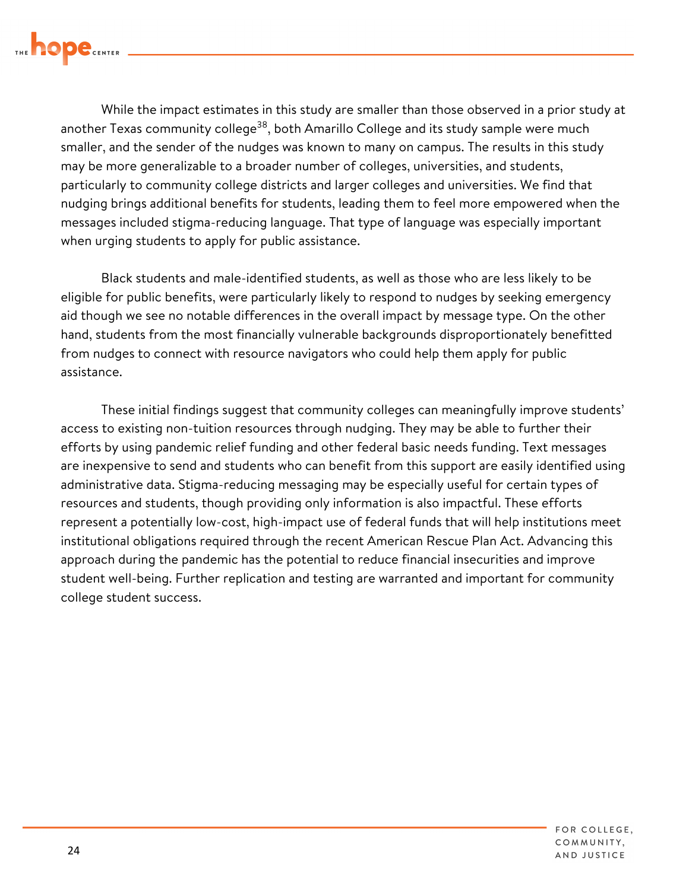

another Texas community college $^\mathrm{38},$  both Amarillo College and its study sample were much nudging brings additional benefits for students, leading them to feel more empowered when the While the impact estimates in this study are smaller than those observed in a prior study at smaller, and the sender of the nudges was known to many on campus. The results in this study may be more generalizable to a broader number of colleges, universities, and students, particularly to community college districts and larger colleges and universities. We find that messages included stigma-reducing language. That type of language was especially important when urging students to apply for public assistance.

 eligible for public benefits, were particularly likely to respond to nudges by seeking emergency Black students and male-identified students, as well as those who are less likely to be aid though we see no notable differences in the overall impact by message type. On the other hand, students from the most financially vulnerable backgrounds disproportionately benefitted from nudges to connect with resource navigators who could help them apply for public assistance.

 resources and students, though providing only information is also impactful. These efforts These initial findings suggest that community colleges can meaningfully improve students' access to existing non-tuition resources through nudging. They may be able to further their efforts by using pandemic relief funding and other federal basic needs funding. Text messages are inexpensive to send and students who can benefit from this support are easily identified using administrative data. Stigma-reducing messaging may be especially useful for certain types of represent a potentially low-cost, high-impact use of federal funds that will help institutions meet institutional obligations required through the recent American Rescue Plan Act. Advancing this approach during the pandemic has the potential to reduce financial insecurities and improve student well-being. Further replication and testing are warranted and important for community college student success.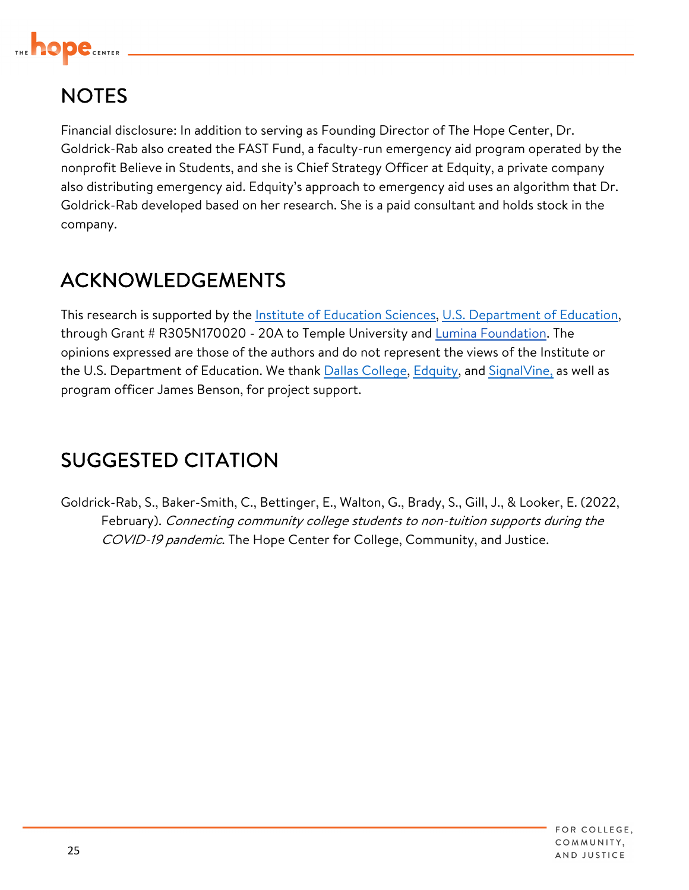

# **NOTES**

Financial disclosure: In addition to serving as Founding Director of The Hope Center, Dr. Goldrick-Rab also created the FAST Fund, a faculty-run emergency aid program operated by the nonprofit Believe in Students, and she is Chief Strategy Officer at Edquity, a private company also distributing emergency aid. Edquity's approach to emergency aid uses an algorithm that Dr. Goldrick-Rab developed based on her research. She is a paid consultant and holds stock in the company.

# ACKNOWLEDGEMENTS

This research is supported by the Institute of Education Sciences, U.S. Department of Education, through Grant # R305N170020 - 20A to Temple University and [Lumina Foundation](https://www.luminafoundation.org/). The opinions expressed are those of the authors and do not represent the views of the Institute or the U.S. Department of Education. We thank Dallas College, Edquity, and SignalVine, as well as program officer James Benson, for project support.

# SUGGESTED CITATION

COVID-19 pandemic. The Hope Center for College, Community, and Justice. Goldrick-Rab, S., Baker-Smith, C., Bettinger, E., Walton, G., Brady, S., Gill, J., & Looker, E. (2022, February). Connecting community college students to non-tuition supports during the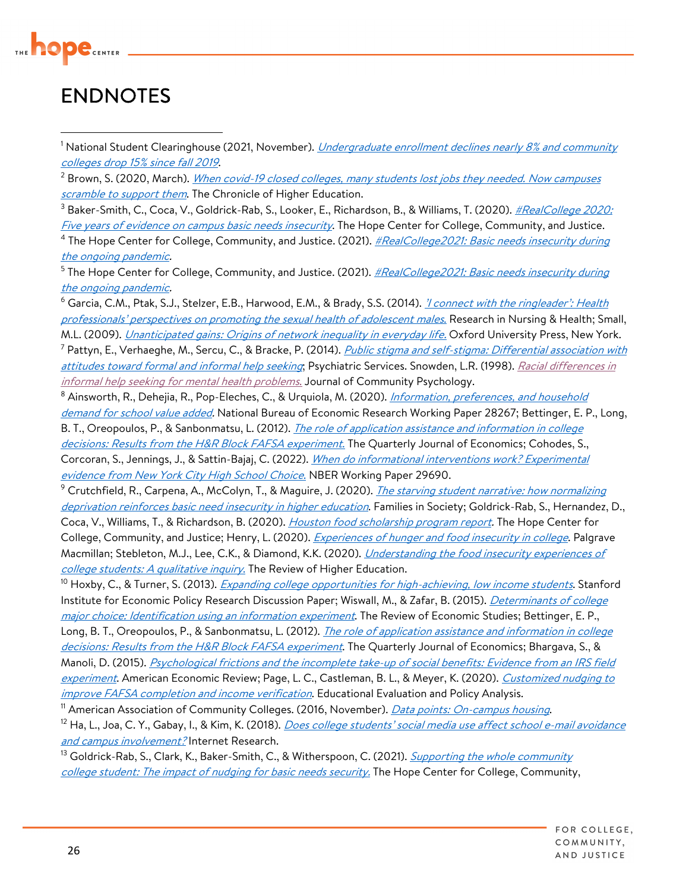

## ENDNOTES

<sup>1</sup> National Student Clearinghouse (2021, November). *Undergraduate enrollment declines nearly 8% and community* colleges drop 15% since fall 2019.

<u>colleges drop 15% since fall 2019</u>.<br><sup>2</sup> Brown, S. (2020, March). <u>When covid-19 closed colleges, many students lost jobs they needed. Now campuses</u> scramble to support them. The Chronicle of Higher Education.

<sup>3</sup> Baker-Smith, C., Coca, V., Goldrick-Rab, S., Looker, E., Richardson, B., & Williams, T. (2020). <u>#RealCollege 2020:</u> <u>Five years of evidence on campus basic needs insecurity</u>. The Hope Center for College, Community, and Justice. <sup>4</sup> The Hope Center for College, Community, and Justice. (2021). <u>#RealCollege2021: Basic needs insecurity during</u> the ongoing pandemic.

<sup>5</sup> The Hope Center for College, Community, and Justice. (2021). <u>#RealCollege2021: Basic needs insecurity during</u> the ongoing pandemic.

<sup>6</sup> Garcia, C.M., Ptak, S.J., Stelzer, E.B., Harwood, E.M., & Brady, S.S. (2014). <u>'I connect with the ringleader': Health</u> professionals' perspectives on promoting the sexual health of adolescent males. Research in Nursing & Health; Small, M.L. (2009). *<u>Unanticipated gains: Origins of network inequality in everyday life.</u> Oxford University Press, New York.* <sup>7</sup> Pattyn, E., Verhaeghe, M., Sercu, C., & Bracke, P. (2014). <u>*Public stigma and self-stigma: Differential association with*</u> <u>attitudes toward formal and informal help seeking</u>; Psychiatric Services. Snowden, L.R. (1998). <u>Racial differences in</u>

informal help seeking for mental health problems. Journal of Community Psychology. *informal help seeking for mental health problems*. Journal of Community Psychology.<br><sup>8</sup> Ainsworth, R., Dehejia, R., Pop-Eleches, C., & Urquiola, M. (2020). <u>*Information, preferences, and household</u>*</u> *demand for school value added.* National Bureau of Economic Research Working Paper 28267; Bettinger, E. P., Long,

B. T., Oreopoulos, P., & Sanbonmatsu, L. (2012). <u>*The role of application assistance and information in college*</u> <u>decisions: Results from the H&R Block FAFSA experiment.</u> The Quarterly Journal of Economics; Cohodes, S., Corcoran, S., Jennings, J., & Sattin-Bajaj, C. (2022). <u>When do informational interventions work? Experimental</u> evidence from New York City High School Choice. NBER Working Paper 29690.

<sup>9</sup> Crutchfield, R., Carpena, A., McColyn, T., & Maguire, J. (2020). <u>*The starving student narrative: how normalizing*</u> *deprivation reinforces basic need insecurity in higher education*. Families in Society; Goldrick-Rab, S., Hernandez, D., Coca, V., Williams, T., & Richardson, B. (2020). <u>Houston food scholarship program report</u>. The Hope Center for College, Community, and Justice; Henry, L. (2020). <u>*Experiences of hunger and food insecurity in college*. Palgrave</u> Macmillan; Stebleton, M.J., Lee, C.K., & Diamond, K.K. (2020). *Understanding the food insecurity experiences of* college students: A qualitative inquiry. The Review of Higher Education.

<u>college students: A qualitative inquiry.</u> The Review of Higher Education.<br><sup>10</sup> Hoxby, C., & Turner, S. (2013). <u>Expanding college opportunities for high-achieving, low income students</u>. Stanford Institute for Economic Policy Research Discussion Paper; Wiswall, M., & Zafar, B. (2015). *<u>Determinants of college</u>* <u>major choice: Identification using an information experiment</u>. The Review of Economic Studies; Bettinger, E. P., Long, B. T., Oreopoulos, P., & Sanbonmatsu, L. (2012). <u>*The role of application assistance and information in college*</u> <u>decisions: Results from the H&R Block FAFSA experiment</u>. The Quarterly Journal of Economics; Bhargava, S., & Manoli, D. (2015). <u>Psychological frictions and the incomplete take-up of social benefits: Evidence from an IRS field</u> <u>experiment</u>. American Economic Review; Page, L. C., Castleman, B. L., & Meyer, K. (2020). <u>*Customized nudging to*</u> improve FAFSA completion and income verification. Educational Evaluation and Policy Analysis.

<sup>11</sup> American Association of Community Colleges. (2016, November). *Data points: On-campus housing*.

*improve FAFSA completion and income verification*. Educational Evaluation and Policy Analysis.<br><sup>11</sup> American Association of Community Colleges. (2016, November). *Data points: On-campus housing*.<br><sup>12</sup> Ha, L., Joa, C. Y., and campus involvement? Internet Research.

<u>and campus involvement?</u> Internet Research.<br><sup>13</sup> Goldrick-Rab, S., Clark, K., Baker-Smith, C., & Witherspoon, C. (2021). <u>*Supporting the whole community</u>*</u> college student: The impact of nudging for basic needs security. The Hope Center for College, Community,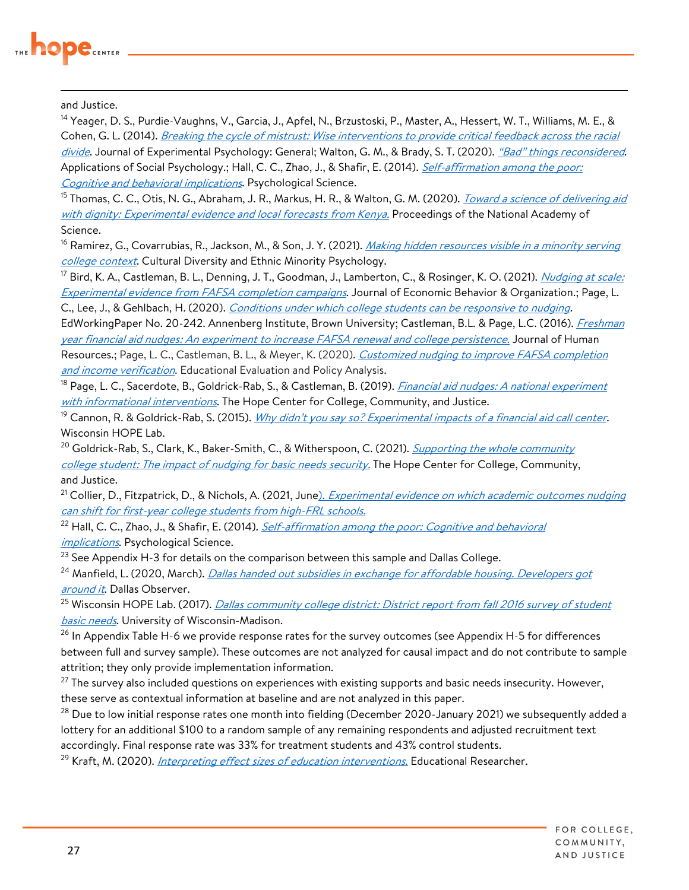

and Justice.

<sup>14</sup> Yeager, D. S., Purdie-Vaughns, V., Garcia, J., Apfel, N., Brzustoski, P., Master, A., Hessert, W. T., Williams, M. E., & Cohen, G. L. (2014). <u>Breaking the cycle of mistrust: Wise interventions to provide critical feedback across the racial</u> <u>divide</u>. Journal of Experimental Psychology: General; Walton, G. M., & Brady, S. T. (2020). <u>"Bad" things reconsidered</u>. Applications of Social Psychology.; Hall, C. C., Zhao, J., & Shafir, E. (2014). <u>*Self-affirmation among the poor:*</u> Cognitive and behavioral implications. Psychological Science.

*Cognitive and behavioral implications*. Psychological Science.<br><sup>15</sup> Thomas, C. C., Otis, N. G., Abraham, J. R., Markus, H. R., & Walton, G. M. (2020). <u>*Toward a science of delivering aid*</u> with dignity: Experimental evidence and local forecasts from Kenya. Proceedings of the National Academy of

Science.<br><sup>16</sup> Ramirez, G., Covarrubias, R., Jackson, M., & Son, J. Y. (2021). <u>*Making hidden resources visible in a minority serving*</u> college context. Cultural Diversity and Ethnic Minority Psychology.

<u>*college context*</u>. Cultural Diversity and Ethnic Minority Psychology.<br><sup>17</sup> Bird, K. A., Castleman, B. L., Denning, J. T., Goodman, J., Lamberton, C., & Rosinger, K. O. (2021). <u>*Nudging at scale:*</u> Experimental evidence from FAFSA completion campaigns. Journal of Economic Behavior & Organization.; Page, L.

C., Lee, J., & Gehlbach, H. (2020). <u>Conditions under which college students can be responsive to nudging</u>.

EdWorkingPaper No. 20-242. Annenberg Institute, Brown University; Castleman, B.L. & Page, L.C. (2016). <u>*Freshman*</u> year financial aid nudges: An experiment to increase FAFSA renewal and college persistence. Journal of Human Resources.; Page, L. C., Castleman, B. L., & Meyer, K. (2020). *<u>Customized nudging to improve FAFSA completion</u>* 

and income verification. Educational Evaluation and Policy Analysis.

*and income verification*. Educational Evaluation and Policy Analysis.<br><sup>18</sup> Page, L. C., Sacerdote, B., Goldrick-Rab, S., & Castleman, B. (2019). <u>Financial aid nudges: A national experiment</u> with informational interventions. The Hope Center for College, Community, and Justice.

<sup>19</sup> Cannon, R. & Goldrick-Rab, S. (2015). <u>Why didn't you say so? Experimental impacts of a financial aid call center</u>. Wisconsin HOPE Lab.

<sup>20</sup> Goldrick-Rab, S., Clark, K., Baker-Smith, C., & Witherspoon, C. (2021). <u>*Supporting the whole community*</u> college student: The impact of nudging for basic needs security. The Hope Center for College, Community, and Justice.

<sup>21</sup> Collier, D., Fitzpatrick, D., & Nichols, A. (2021, June<u>). *Experimental evidence on which academic outcomes nudging*</u> can shift for first-year college students from high-FRL schools.

<sup>22</sup> Hall, C. C., Zhao, J., & Shafir, E. (2014). <u>*Self-affirmation among the poor: Cognitive and behavioral*</u>

<u>implications</u>. Psychological Science.<br><sup>23</sup> See Appendix H-3 for details on the comparison between this sample and Dallas College.

<sup>24</sup> Manfield, L. (2020, March). <u>Dallas handed out subsidies in exchange for affordable housing. Developers got</u>

<u>around it</u>. Dallas Observer.<br><sup>25</sup> Wisconsin HOPE Lab. (2017). <u>Dallas community college district: District report from fall 2016 survey of student</u> basic needs. University of Wisconsin-Madison.

 $^{26}$  In Appendix Table H-6 we provide response rates for the survey outcomes (see Appendix H-5 for differences between full and survey sample). These outcomes are not analyzed for causal impact and do not contribute to sample attrition; they only provide implementation information.

 $^{27}$  The survey also included questions on experiences with existing supports and basic needs insecurity. However, these serve as contextual information at baseline and are not analyzed in this paper.

 $^{28}$  Due to low initial response rates one month into fielding (December 2020-January 2021) we subsequently added a accordingly. Final response rate was 33% for treatment students and 43% control students. lottery for an additional \$100 to a random sample of any remaining respondents and adjusted recruitment text

<sup>29</sup> Kraft, M. (2020). <u>Interpreting effect sizes of education interventions.</u> Educational Researcher.